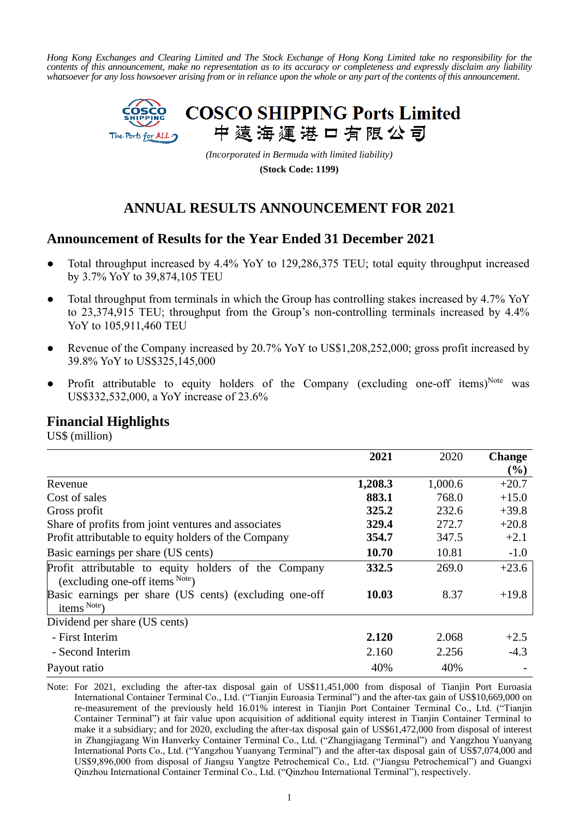*Hong Kong Exchanges and Clearing Limited and The Stock Exchange of Hong Kong Limited take no responsibility for the contents of this announcement, make no representation as to its accuracy or completeness and expressly disclaim any liability whatsoever for any loss howsoever arising from or in reliance upon the whole or any part of the contents of this announcement.*



*(Incorporated in Bermuda with limited liability)*

**(Stock Code: 1199)**

## **ANNUAL RESULTS ANNOUNCEMENT FOR 2021**

## **Announcement of Results for the Year Ended 31 December 2021**

- Total throughput increased by 4.4% YoY to 129,286,375 TEU; total equity throughput increased by 3.7% YoY to 39,874,105 TEU
- Total throughput from terminals in which the Group has controlling stakes increased by 4.7% YoY to 23,374,915 TEU; throughput from the Group's non-controlling terminals increased by 4.4% YoY to 105,911,460 TEU
- Revenue of the Company increased by 20.7% YoY to US\$1,208,252,000; gross profit increased by 39.8% YoY to US\$325,145,000
- Profit attributable to equity holders of the Company (excluding one-off items)<sup>Note</sup> was US\$332,532,000, a YoY increase of 23.6%

## **Financial Highlights**

US\$ (million)

|                                                                                              | 2021    | 2020    | <b>Change</b> |
|----------------------------------------------------------------------------------------------|---------|---------|---------------|
|                                                                                              |         |         | (%)           |
| Revenue                                                                                      | 1,208.3 | 1,000.6 | $+20.7$       |
| Cost of sales                                                                                | 883.1   | 768.0   | $+15.0$       |
| Gross profit                                                                                 | 325.2   | 232.6   | $+39.8$       |
| Share of profits from joint ventures and associates                                          | 329.4   | 272.7   | $+20.8$       |
| Profit attributable to equity holders of the Company                                         | 354.7   | 347.5   | $+2.1$        |
| Basic earnings per share (US cents)                                                          | 10.70   | 10.81   | $-1.0$        |
| Profit attributable to equity holders of the Company<br>(excluding one-off items $^{Note}$ ) | 332.5   | 269.0   | $+23.6$       |
| Basic earnings per share (US cents) (excluding one-off<br>items Note                         | 10.03   | 8.37    | $+19.8$       |
| Dividend per share (US cents)                                                                |         |         |               |
| - First Interim                                                                              | 2.120   | 2.068   | $+2.5$        |
| - Second Interim                                                                             | 2.160   | 2.256   | $-4.3$        |
| Payout ratio                                                                                 | 40%     | 40%     |               |

Note: For 2021, excluding the after-tax disposal gain of US\$11,451,000 from disposal of Tianjin Port Euroasia International Container Terminal Co., Ltd. ("Tianjin Euroasia Terminal") and the after-tax gain of US\$10,669,000 on re-measurement of the previously held 16.01% interest in Tianjin Port Container Terminal Co., Ltd. ("Tianjin Container Terminal") at fair value upon acquisition of additional equity interest in Tianjin Container Terminal to make it a subsidiary; and for 2020, excluding the after-tax disposal gain of US\$61,472,000 from disposal of interest in Zhangjiagang Win Hanverky Container Terminal Co., Ltd. ("Zhangjiagang Terminal") and Yangzhou Yuanyang International Ports Co., Ltd. ("Yangzhou Yuanyang Terminal") and the after-tax disposal gain of US\$7,074,000 and US\$9,896,000 from disposal of Jiangsu Yangtze Petrochemical Co., Ltd. ("Jiangsu Petrochemical") and Guangxi Qinzhou International Container Terminal Co., Ltd. ("Qinzhou International Terminal"), respectively.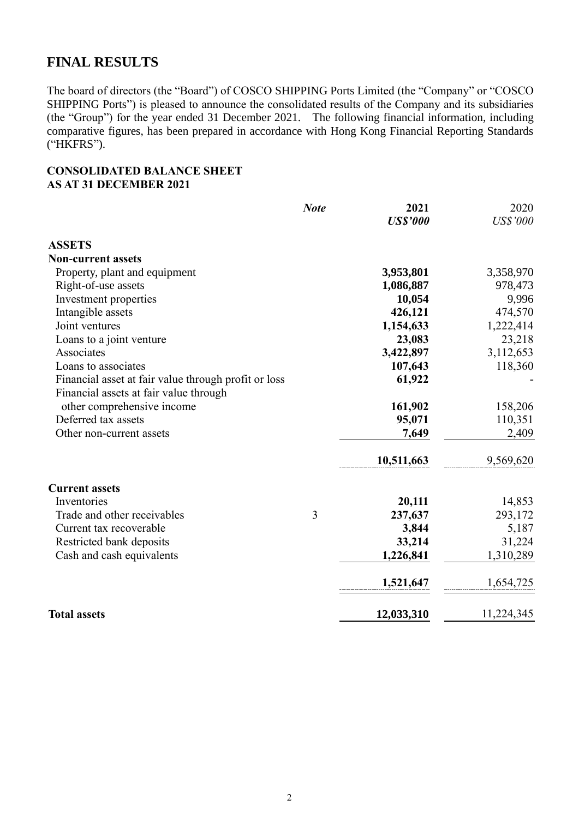## **FINAL RESULTS**

The board of directors (the "Board") of COSCO SHIPPING Ports Limited (the "Company" or "COSCO SHIPPING Ports") is pleased to announce the consolidated results of the Company and its subsidiaries (the "Group") for the year ended 31 December 2021. The following financial information, including comparative figures, has been prepared in accordance with Hong Kong Financial Reporting Standards ("HKFRS").

### **CONSOLIDATED BALANCE SHEET AS AT 31 DECEMBER 2021**

|                                                      | <b>Note</b> | 2021            | 2020            |
|------------------------------------------------------|-------------|-----------------|-----------------|
|                                                      |             | <b>US\$'000</b> | <b>US\$'000</b> |
| <b>ASSETS</b>                                        |             |                 |                 |
| <b>Non-current assets</b>                            |             |                 |                 |
| Property, plant and equipment                        |             | 3,953,801       | 3,358,970       |
| Right-of-use assets                                  |             | 1,086,887       | 978,473         |
| Investment properties                                |             | 10,054          | 9,996           |
| Intangible assets                                    |             | 426,121         | 474,570         |
| Joint ventures                                       |             | 1,154,633       | 1,222,414       |
| Loans to a joint venture                             |             | 23,083          | 23,218          |
| Associates                                           |             | 3,422,897       | 3,112,653       |
| Loans to associates                                  |             | 107,643         | 118,360         |
| Financial asset at fair value through profit or loss |             | 61,922          |                 |
| Financial assets at fair value through               |             |                 |                 |
| other comprehensive income                           |             | 161,902         | 158,206         |
| Deferred tax assets                                  |             | 95,071          | 110,351         |
| Other non-current assets                             |             | 7,649           | 2,409           |
|                                                      |             | 10,511,663      | 9,569,620       |
| <b>Current assets</b>                                |             |                 |                 |
| Inventories                                          |             | 20,111          | 14,853          |
| Trade and other receivables                          | 3           | 237,637         | 293,172         |
| Current tax recoverable                              |             | 3,844           | 5,187           |
| Restricted bank deposits                             |             | 33,214          | 31,224          |
| Cash and cash equivalents                            |             | 1,226,841       | 1,310,289       |
|                                                      |             | 1,521,647       | 1,654,725       |
| <b>Total assets</b>                                  |             | 12,033,310      | 11,224,345      |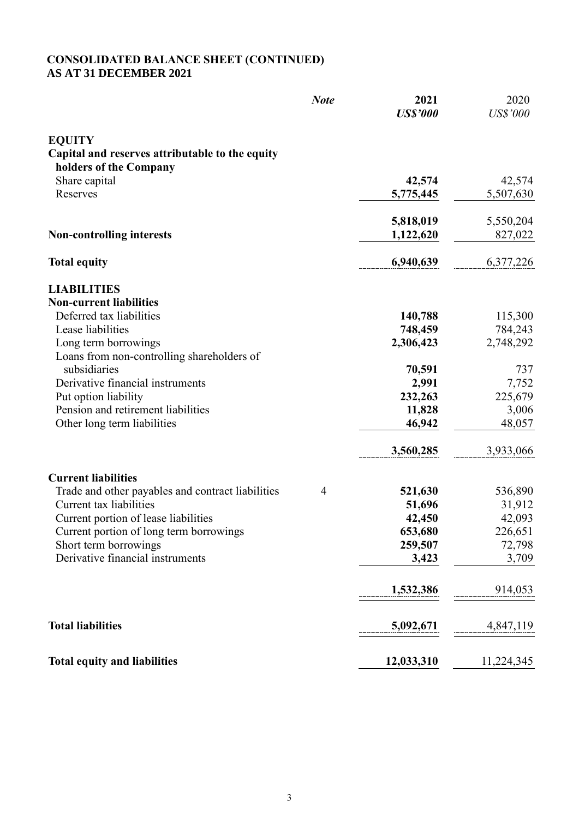#### **CONSOLIDATED BALANCE SHEET (CONTINUED) AS AT 31 DECEMBER 2021**

|                                                                           | <b>Note</b>    | 2021<br><b>US\$'000</b> | 2020<br><b>US\$'000</b> |
|---------------------------------------------------------------------------|----------------|-------------------------|-------------------------|
| <b>EQUITY</b>                                                             |                |                         |                         |
| Capital and reserves attributable to the equity<br>holders of the Company |                |                         |                         |
| Share capital                                                             |                | 42,574                  | 42,574                  |
| Reserves                                                                  |                | 5,775,445               | 5,507,630               |
|                                                                           |                | 5,818,019               | 5,550,204               |
| <b>Non-controlling interests</b>                                          |                | 1,122,620               | 827,022                 |
| <b>Total equity</b>                                                       |                | 6,940,639               | 6,377,226               |
| <b>LIABILITIES</b>                                                        |                |                         |                         |
| <b>Non-current liabilities</b><br>Deferred tax liabilities                |                | 140,788                 | 115,300                 |
| Lease liabilities                                                         |                | 748,459                 | 784,243                 |
| Long term borrowings                                                      |                | 2,306,423               | 2,748,292               |
| Loans from non-controlling shareholders of                                |                |                         |                         |
| subsidiaries                                                              |                | 70,591                  | 737                     |
| Derivative financial instruments                                          |                | 2,991                   | 7,752                   |
| Put option liability                                                      |                | 232,263                 | 225,679                 |
| Pension and retirement liabilities                                        |                | 11,828                  | 3,006                   |
| Other long term liabilities                                               |                | 46,942                  | 48,057                  |
|                                                                           |                | 3,560,285               | 3,933,066               |
| <b>Current liabilities</b>                                                |                |                         |                         |
| Trade and other payables and contract liabilities                         | $\overline{4}$ | 521,630                 | 536,890                 |
| Current tax liabilities                                                   |                | 51,696                  | 31,912                  |
| Current portion of lease liabilities                                      |                | 42,450                  | 42,093                  |
| Current portion of long term borrowings                                   |                | 653,680                 | 226,651                 |
| Short term borrowings<br>Derivative financial instruments                 |                | 259,507                 | 72,798                  |
|                                                                           |                | 3,423                   | 3,709                   |
|                                                                           |                | 1,532,386               | 914,053                 |
| <b>Total liabilities</b>                                                  |                | 5,092,671               | 4,847,119               |
| <b>Total equity and liabilities</b>                                       |                | 12,033,310              | 11,224,345              |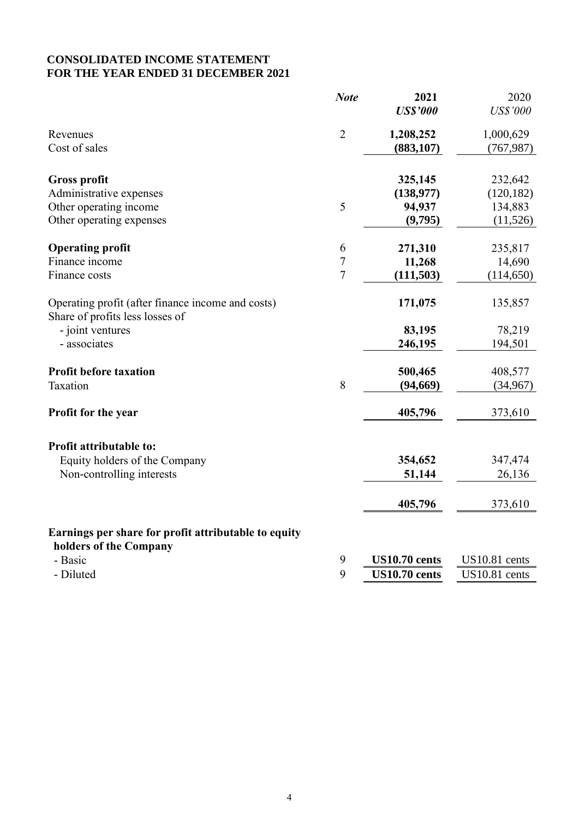## **CONSOLIDATED INCOME STATEMENT FOR THE YEAR ENDED 31 DECEMBER 2021**

|                                                                                      | <b>Note</b>    | 2021<br><b>US\$'000</b> | 2020<br><b>US\$'000</b> |
|--------------------------------------------------------------------------------------|----------------|-------------------------|-------------------------|
|                                                                                      |                |                         |                         |
| Revenues                                                                             | $\overline{2}$ | 1,208,252               | 1,000,629               |
| Cost of sales                                                                        |                | (883, 107)              | (767, 987)              |
| <b>Gross profit</b>                                                                  |                | 325,145                 | 232,642                 |
| Administrative expenses                                                              |                | (138,977)               | (120, 182)              |
| Other operating income                                                               | 5              | 94,937                  | 134,883                 |
| Other operating expenses                                                             |                | (9,795)                 | (11,526)                |
| <b>Operating profit</b>                                                              | 6              | 271,310                 | 235,817                 |
| Finance income                                                                       | $\overline{7}$ | 11,268                  | 14,690                  |
| Finance costs                                                                        | $\overline{7}$ | (111, 503)              | (114, 650)              |
| Operating profit (after finance income and costs)<br>Share of profits less losses of |                | 171,075                 | 135,857                 |
| - joint ventures                                                                     |                | 83,195                  | 78,219                  |
| - associates                                                                         |                | 246,195                 | 194,501                 |
| <b>Profit before taxation</b>                                                        |                | 500,465                 | 408,577                 |
| Taxation                                                                             | 8              | (94, 669)               | (34, 967)               |
| Profit for the year                                                                  |                | 405,796                 | 373,610                 |
| Profit attributable to:                                                              |                |                         |                         |
| Equity holders of the Company                                                        |                | 354,652                 | 347,474                 |
| Non-controlling interests                                                            |                | 51,144                  | 26,136                  |
|                                                                                      |                | 405,796                 | 373,610                 |
| Earnings per share for profit attributable to equity<br>holders of the Company       |                |                         |                         |
| - Basic                                                                              | 9              | <b>US10.70 cents</b>    | US10.81 cents           |
| - Diluted                                                                            | 9              | <b>US10.70 cents</b>    | US10.81 cents           |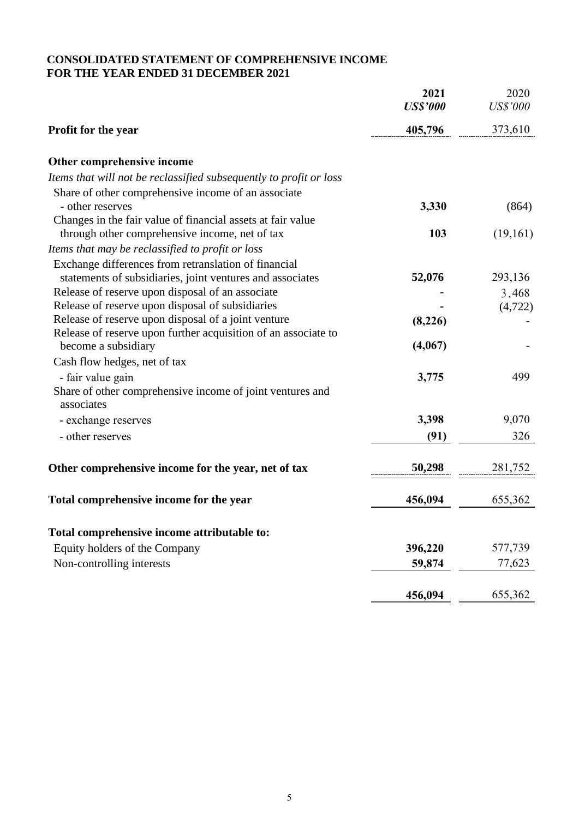## **CONSOLIDATED STATEMENT OF COMPREHENSIVE INCOME FOR THE YEAR ENDED 31 DECEMBER 2021**

|                                                                                                               | 2021<br><b>US\$'000</b> | 2020<br><b>US\$'000</b> |
|---------------------------------------------------------------------------------------------------------------|-------------------------|-------------------------|
| <b>Profit for the year</b>                                                                                    | 405,796                 | 373,610                 |
| Other comprehensive income                                                                                    |                         |                         |
| Items that will not be reclassified subsequently to profit or loss                                            |                         |                         |
| Share of other comprehensive income of an associate<br>- other reserves                                       | 3,330                   | (864)                   |
| Changes in the fair value of financial assets at fair value<br>through other comprehensive income, net of tax | 103                     | (19,161)                |
| Items that may be reclassified to profit or loss                                                              |                         |                         |
| Exchange differences from retranslation of financial                                                          |                         |                         |
| statements of subsidiaries, joint ventures and associates                                                     | 52,076                  | 293,136                 |
| Release of reserve upon disposal of an associate                                                              |                         | 3,468                   |
| Release of reserve upon disposal of subsidiaries                                                              |                         | (4, 722)                |
| Release of reserve upon disposal of a joint venture                                                           | (8,226)                 |                         |
| Release of reserve upon further acquisition of an associate to<br>become a subsidiary                         | (4,067)                 |                         |
| Cash flow hedges, net of tax                                                                                  |                         |                         |
| - fair value gain                                                                                             | 3,775                   | 499                     |
| Share of other comprehensive income of joint ventures and                                                     |                         |                         |
| associates<br>- exchange reserves                                                                             | 3,398                   | 9,070                   |
| - other reserves                                                                                              |                         | 326                     |
|                                                                                                               | (91)                    |                         |
| Other comprehensive income for the year, net of tax                                                           | 50,298                  | 281,752                 |
| Total comprehensive income for the year                                                                       | 456,094                 | 655,362                 |
|                                                                                                               |                         |                         |
| Total comprehensive income attributable to:                                                                   |                         |                         |
| Equity holders of the Company                                                                                 | 396,220                 | 577,739                 |
| Non-controlling interests                                                                                     | 59,874                  | 77,623                  |
|                                                                                                               | 456,094                 | 655,362                 |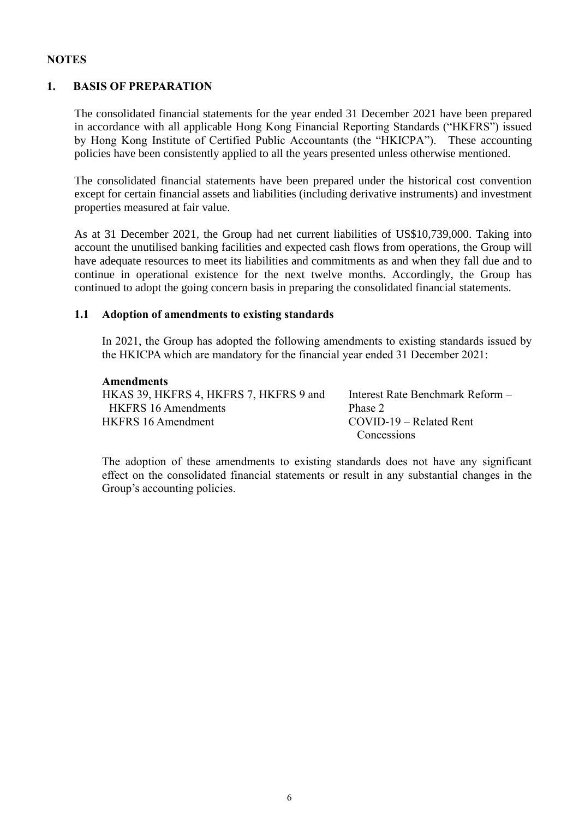### **NOTES**

### **1. BASIS OF PREPARATION**

The consolidated financial statements for the year ended 31 December 2021 have been prepared in accordance with all applicable Hong Kong Financial Reporting Standards ("HKFRS") issued by Hong Kong Institute of Certified Public Accountants (the "HKICPA"). These accounting policies have been consistently applied to all the years presented unless otherwise mentioned.

The consolidated financial statements have been prepared under the historical cost convention except for certain financial assets and liabilities (including derivative instruments) and investment properties measured at fair value.

As at 31 December 2021, the Group had net current liabilities of US\$10,739,000. Taking into account the unutilised banking facilities and expected cash flows from operations, the Group will have adequate resources to meet its liabilities and commitments as and when they fall due and to continue in operational existence for the next twelve months. Accordingly, the Group has continued to adopt the going concern basis in preparing the consolidated financial statements.

#### **1.1 Adoption of amendments to existing standards**

In 2021, the Group has adopted the following amendments to existing standards issued by the HKICPA which are mandatory for the financial year ended 31 December 2021:

#### **Amendments**

| HKAS 39, HKFRS 4, HKFRS 7, HKFRS 9 and | Interest Rate Benchmark Reform - |
|----------------------------------------|----------------------------------|
| HKFRS 16 Amendments                    | Phase 2                          |
| <b>HKFRS</b> 16 Amendment              | $COVID-19 - Related Rent$        |
|                                        | Concessions                      |

The adoption of these amendments to existing standards does not have any significant effect on the consolidated financial statements or result in any substantial changes in the Group's accounting policies.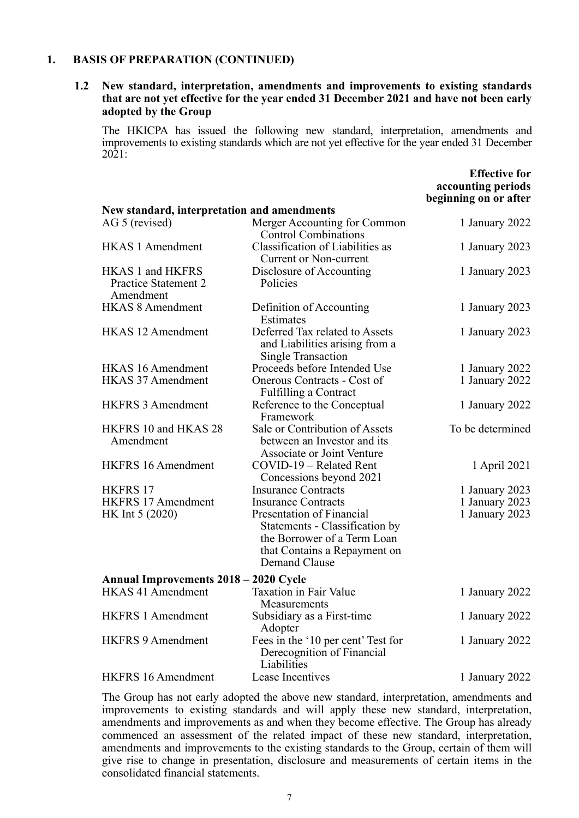#### **1. BASIS OF PREPARATION (CONTINUED)**

#### **1.2 New standard, interpretation, amendments and improvements to existing standards that are not yet effective for the year ended 31 December 2021 and have not been early adopted by the Group**

The HKICPA has issued the following new standard, interpretation, amendments and improvements to existing standards which are not yet effective for the year ended 31 December 2021:

**Effective for** 

|                                                       |                                                                                                                                             | accounting periods<br>beginning on or after |
|-------------------------------------------------------|---------------------------------------------------------------------------------------------------------------------------------------------|---------------------------------------------|
| New standard, interpretation and amendments           |                                                                                                                                             |                                             |
| AG 5 (revised)                                        | Merger Accounting for Common<br><b>Control Combinations</b>                                                                                 | 1 January 2022                              |
| <b>HKAS 1 Amendment</b>                               | Classification of Liabilities as<br><b>Current or Non-current</b>                                                                           | 1 January 2023                              |
| HKAS 1 and HKFRS<br>Practice Statement 2<br>Amendment | Disclosure of Accounting<br>Policies                                                                                                        | 1 January 2023                              |
| <b>HKAS 8 Amendment</b>                               | Definition of Accounting<br>Estimates                                                                                                       | 1 January 2023                              |
| <b>HKAS 12 Amendment</b>                              | Deferred Tax related to Assets<br>and Liabilities arising from a<br><b>Single Transaction</b>                                               | 1 January 2023                              |
| <b>HKAS 16 Amendment</b>                              | Proceeds before Intended Use                                                                                                                | 1 January 2022                              |
| <b>HKAS 37 Amendment</b>                              | Onerous Contracts - Cost of<br>Fulfilling a Contract                                                                                        | 1 January 2022                              |
| <b>HKFRS 3 Amendment</b>                              | Reference to the Conceptual<br>Framework                                                                                                    | 1 January 2022                              |
| HKFRS 10 and HKAS 28<br>Amendment                     | Sale or Contribution of Assets<br>between an Investor and its<br>Associate or Joint Venture                                                 | To be determined                            |
| <b>HKFRS 16 Amendment</b>                             | COVID-19 - Related Rent<br>Concessions beyond 2021                                                                                          | 1 April 2021                                |
| HKFRS 17                                              | <b>Insurance Contracts</b>                                                                                                                  | 1 January 2023                              |
| HKFRS 17 Amendment                                    | <b>Insurance Contracts</b>                                                                                                                  | 1 January 2023                              |
| HK Int 5 (2020)                                       | Presentation of Financial<br>Statements - Classification by<br>the Borrower of a Term Loan<br>that Contains a Repayment on<br>Demand Clause | 1 January 2023                              |
| Annual Improvements 2018 – 2020 Cycle                 |                                                                                                                                             |                                             |
| <b>HKAS 41 Amendment</b>                              | <b>Taxation in Fair Value</b><br>Measurements                                                                                               | 1 January 2022                              |
| <b>HKFRS 1 Amendment</b>                              | Subsidiary as a First-time<br>Adopter                                                                                                       | 1 January 2022                              |
| <b>HKFRS 9 Amendment</b>                              | Fees in the '10 per cent' Test for<br>Derecognition of Financial<br>Liabilities                                                             | 1 January 2022                              |
| <b>HKFRS 16 Amendment</b>                             | Lease Incentives                                                                                                                            | 1 January 2022                              |

The Group has not early adopted the above new standard, interpretation, amendments and improvements to existing standards and will apply these new standard, interpretation, amendments and improvements as and when they become effective. The Group has already commenced an assessment of the related impact of these new standard, interpretation, amendments and improvements to the existing standards to the Group, certain of them will give rise to change in presentation, disclosure and measurements of certain items in the consolidated financial statements.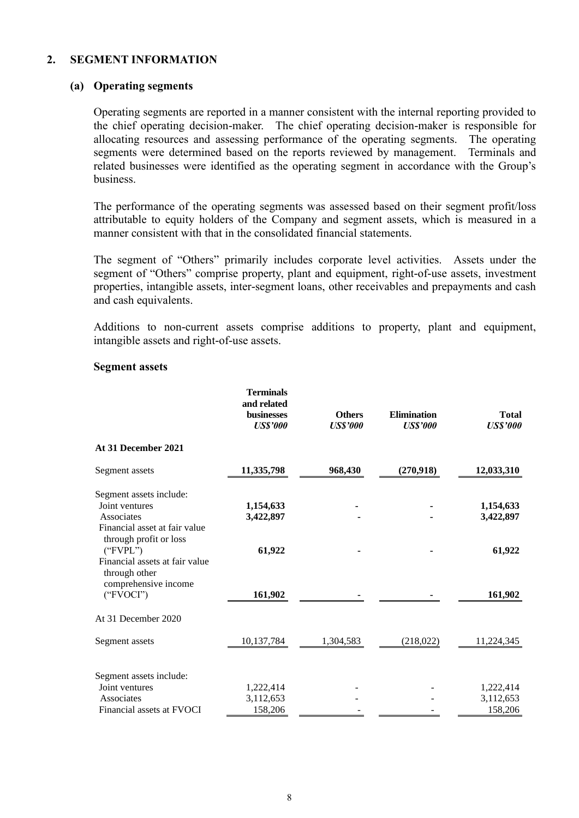#### **2. SEGMENT INFORMATION**

#### **(a) Operating segments**

Operating segments are reported in a manner consistent with the internal reporting provided to the chief operating decision-maker. The chief operating decision-maker is responsible for allocating resources and assessing performance of the operating segments. The operating segments were determined based on the reports reviewed by management. Terminals and related businesses were identified as the operating segment in accordance with the Group's business.

The performance of the operating segments was assessed based on their segment profit/loss attributable to equity holders of the Company and segment assets, which is measured in a manner consistent with that in the consolidated financial statements.

The segment of "Others" primarily includes corporate level activities. Assets under the segment of "Others" comprise property, plant and equipment, right-of-use assets, investment properties, intangible assets, inter-segment loans, other receivables and prepayments and cash and cash equivalents.

Additions to non-current assets comprise additions to property, plant and equipment, intangible assets and right-of-use assets.

|                                           | <b>Terminals</b><br>and related<br><b>businesses</b><br><b>US\$'000</b> | <b>Others</b><br><b>US\$'000</b> | <b>Elimination</b><br><b>US\$'000</b> | <b>Total</b><br><b>US\$'000</b> |
|-------------------------------------------|-------------------------------------------------------------------------|----------------------------------|---------------------------------------|---------------------------------|
| At 31 December 2021                       |                                                                         |                                  |                                       |                                 |
| Segment assets                            | 11,335,798                                                              | 968,430                          | (270,918)                             | 12,033,310                      |
| Segment assets include:                   |                                                                         |                                  |                                       |                                 |
| Joint ventures                            | 1,154,633                                                               |                                  |                                       | 1,154,633                       |
| Associates                                | 3,422,897                                                               |                                  |                                       | 3,422,897                       |
| Financial asset at fair value             |                                                                         |                                  |                                       |                                 |
| through profit or loss<br>("FVPL")        | 61,922                                                                  |                                  |                                       | 61,922                          |
| Financial assets at fair value            |                                                                         |                                  |                                       |                                 |
| through other                             |                                                                         |                                  |                                       |                                 |
| comprehensive income                      |                                                                         |                                  |                                       |                                 |
| ("FVOCI")                                 | 161,902                                                                 |                                  |                                       | 161,902                         |
| At 31 December 2020                       |                                                                         |                                  |                                       |                                 |
| Segment assets                            | 10,137,784                                                              | 1,304,583                        | (218, 022)                            | 11,224,345                      |
|                                           |                                                                         |                                  |                                       |                                 |
| Segment assets include:<br>Joint ventures | 1,222,414                                                               |                                  |                                       | 1,222,414                       |
| Associates                                | 3,112,653                                                               |                                  |                                       | 3,112,653                       |
| Financial assets at FVOCI                 | 158,206                                                                 |                                  |                                       | 158,206                         |

#### **Segment assets**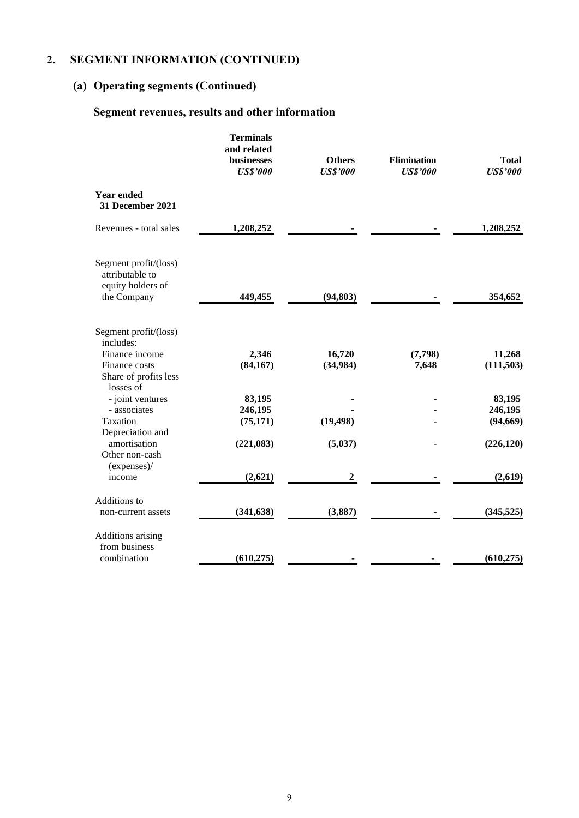## **2. SEGMENT INFORMATION (CONTINUED)**

# **(a) Operating segments (Continued)**

## **Segment revenues, results and other information**

|                                                                                                | <b>Terminals</b><br>and related<br>businesses<br><b>US\$'000</b> | <b>Others</b><br><b>US\$'000</b> | <b>Elimination</b><br><b>US\$'000</b> | <b>Total</b><br><b>US\$'000</b>              |
|------------------------------------------------------------------------------------------------|------------------------------------------------------------------|----------------------------------|---------------------------------------|----------------------------------------------|
| Year ended<br>31 December 2021                                                                 |                                                                  |                                  |                                       |                                              |
| Revenues - total sales                                                                         | 1,208,252                                                        |                                  |                                       | 1,208,252                                    |
| Segment profit/(loss)<br>attributable to<br>equity holders of<br>the Company                   | 449,455                                                          | (94, 803)                        |                                       | 354,652                                      |
| Segment profit/(loss)<br>includes:<br>Finance income<br>Finance costs<br>Share of profits less | 2,346<br>(84, 167)                                               | 16,720<br>(34,984)               | (7,798)<br>7,648                      | 11,268<br>(111, 503)                         |
| losses of<br>- joint ventures<br>- associates<br>Taxation<br>Depreciation and<br>amortisation  | 83,195<br>246,195<br>(75, 171)<br>(221, 083)                     | (19, 498)<br>(5,037)             |                                       | 83,195<br>246,195<br>(94, 669)<br>(226, 120) |
| Other non-cash<br>(expenses)/<br>income                                                        | (2,621)                                                          | 2                                |                                       | (2,619)                                      |
| Additions to<br>non-current assets                                                             | (341, 638)                                                       | (3,887)                          |                                       | (345, 525)                                   |
| Additions arising<br>from business<br>combination                                              | (610, 275)                                                       |                                  |                                       | (610, 275)                                   |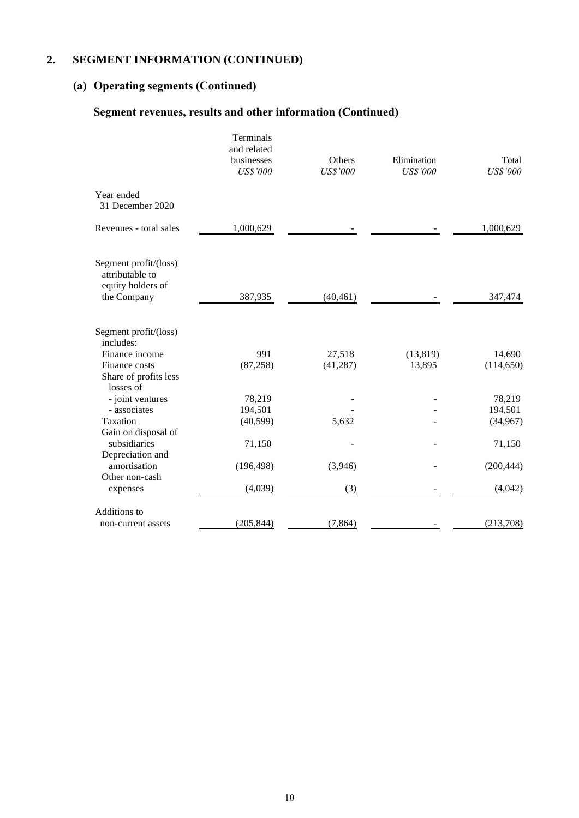## **2. SEGMENT INFORMATION (CONTINUED)**

# **(a) Operating segments (Continued)**

## **Segment revenues, results and other information (Continued)**

|                                                                                                | Terminals<br>and related<br>businesses<br><b>US\$'000</b> | Others<br><b>US\$'000</b> | Elimination<br><b>US\$'000</b> | Total<br><b>US\$'000</b>      |
|------------------------------------------------------------------------------------------------|-----------------------------------------------------------|---------------------------|--------------------------------|-------------------------------|
| Year ended<br>31 December 2020                                                                 |                                                           |                           |                                |                               |
| Revenues - total sales                                                                         | 1,000,629                                                 |                           |                                | 1,000,629                     |
| Segment profit/(loss)<br>attributable to<br>equity holders of<br>the Company                   | 387,935                                                   | (40, 461)                 |                                | 347,474                       |
| Segment profit/(loss)<br>includes:<br>Finance income<br>Finance costs<br>Share of profits less | 991<br>(87, 258)                                          | 27,518<br>(41, 287)       | (13, 819)<br>13,895            | 14,690<br>(114, 650)          |
| losses of<br>- joint ventures<br>- associates<br>Taxation<br>Gain on disposal of               | 78,219<br>194,501<br>(40, 599)                            | 5,632                     |                                | 78,219<br>194,501<br>(34,967) |
| subsidiaries<br>Depreciation and<br>amortisation                                               | 71,150<br>(196, 498)                                      | (3,946)                   |                                | 71,150<br>(200, 444)          |
| Other non-cash<br>expenses                                                                     | (4,039)                                                   | (3)                       |                                | (4,042)                       |
| Additions to<br>non-current assets                                                             | (205, 844)                                                | (7, 864)                  |                                | (213,708)                     |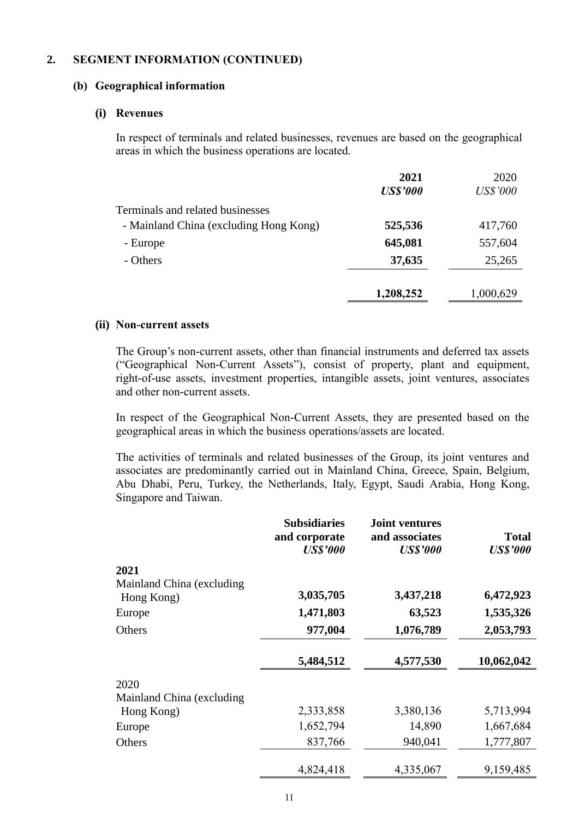### **2. SEGMENT INFORMATION (CONTINUED)**

#### **(b) Geographical information**

#### **(i) Revenues**

In respect of terminals and related businesses, revenues are based on the geographical areas in which the business operations are located.

|                                        | 2021            | 2020            |
|----------------------------------------|-----------------|-----------------|
|                                        | <b>US\$'000</b> | <b>US\$'000</b> |
| Terminals and related businesses       |                 |                 |
| - Mainland China (excluding Hong Kong) | 525,536         | 417,760         |
| - Europe                               | 645,081         | 557,604         |
| - Others                               | 37,635          | 25,265          |
|                                        | 1,208,252       | 1,000,629       |
|                                        |                 |                 |

#### **(ii) Non-current assets**

The Group's non-current assets, other than financial instruments and deferred tax assets ("Geographical Non-Current Assets"), consist of property, plant and equipment, right-of-use assets, investment properties, intangible assets, joint ventures, associates and other non-current assets.

In respect of the Geographical Non-Current Assets, they are presented based on the geographical areas in which the business operations/assets are located.

The activities of terminals and related businesses of the Group, its joint ventures and associates are predominantly carried out in Mainland China, Greece, Spain, Belgium, Abu Dhabi, Peru, Turkey, the Netherlands, Italy, Egypt, Saudi Arabia, Hong Kong, Singapore and Taiwan.

|                            | <b>Subsidiaries</b><br>and corporate<br><b>US\$'000</b> | <b>Joint ventures</b><br>and associates<br><b>US\$'000</b> | <b>Total</b><br><b>US\$'000</b> |
|----------------------------|---------------------------------------------------------|------------------------------------------------------------|---------------------------------|
| 2021                       |                                                         |                                                            |                                 |
| Mainland China (excluding  |                                                         |                                                            |                                 |
| Hong Kong)                 | 3,035,705                                               | 3,437,218                                                  | 6,472,923                       |
| Europe                     | 1,471,803                                               | 63,523                                                     | 1,535,326                       |
| Others                     | 977,004                                                 | 1,076,789                                                  | 2,053,793                       |
|                            | 5,484,512                                               | 4,577,530                                                  | 10,062,042                      |
| 2020                       |                                                         |                                                            |                                 |
| Mainland China (excluding) |                                                         |                                                            |                                 |
| Hong Kong)                 | 2,333,858                                               | 3,380,136                                                  | 5,713,994                       |
| Europe                     | 1,652,794                                               | 14,890                                                     | 1,667,684                       |
| Others                     | 837,766                                                 | 940,041                                                    | 1,777,807                       |
|                            | 4,824,418                                               | 4,335,067                                                  | 9,159,485                       |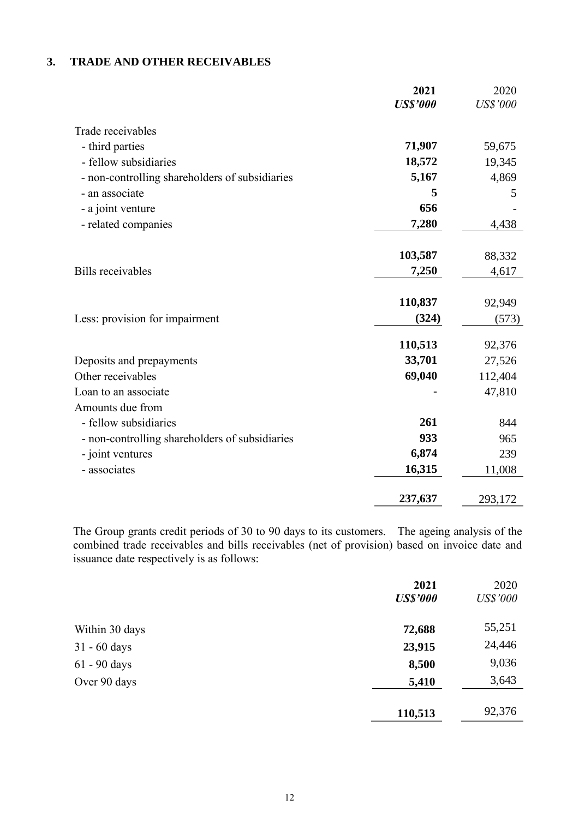### **3. TRADE AND OTHER RECEIVABLES**

|                                                | 2021<br><b>US\$'000</b> | 2020<br><b>US\$'000</b> |
|------------------------------------------------|-------------------------|-------------------------|
|                                                |                         |                         |
| Trade receivables                              |                         |                         |
| - third parties                                | 71,907                  | 59,675                  |
| - fellow subsidiaries                          | 18,572                  | 19,345                  |
| - non-controlling shareholders of subsidiaries | 5,167                   | 4,869                   |
| - an associate                                 | 5                       | 5                       |
| - a joint venture                              | 656                     |                         |
| - related companies                            | 7,280                   | 4,438                   |
|                                                | 103,587                 | 88,332                  |
| <b>Bills</b> receivables                       | 7,250                   | 4,617                   |
|                                                | 110,837                 | 92,949                  |
| Less: provision for impairment                 | (324)                   | (573)                   |
|                                                | 110,513                 | 92,376                  |
| Deposits and prepayments                       | 33,701                  | 27,526                  |
| Other receivables                              | 69,040                  | 112,404                 |
| Loan to an associate                           |                         | 47,810                  |
| Amounts due from                               |                         |                         |
| - fellow subsidiaries                          | 261                     | 844                     |
| - non-controlling shareholders of subsidiaries | 933                     | 965                     |
| - joint ventures                               | 6,874                   | 239                     |
| - associates                                   | 16,315                  | 11,008                  |
|                                                | 237,637                 | 293,172                 |

The Group grants credit periods of 30 to 90 days to its customers. The ageing analysis of the combined trade receivables and bills receivables (net of provision) based on invoice date and issuance date respectively is as follows:

|                | 2021            | 2020            |
|----------------|-----------------|-----------------|
|                | <b>US\$'000</b> | <b>US\$'000</b> |
| Within 30 days | 72,688          | 55,251          |
| $31 - 60$ days | 23,915          | 24,446          |
| 61 - 90 days   | 8,500           | 9,036           |
| Over 90 days   | 5,410           | 3,643           |
|                | 110,513         | 92,376          |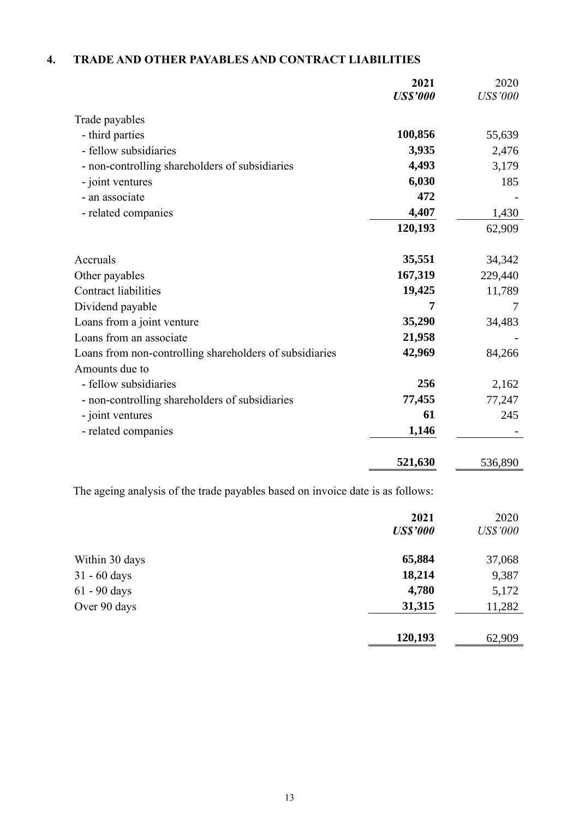## **4. TRADE AND OTHER PAYABLES AND CONTRACT LIABILITIES**

|                                                         | 2021<br><b>US\$'000</b> | 2020<br><b>US\$'000</b> |
|---------------------------------------------------------|-------------------------|-------------------------|
| Trade payables                                          |                         |                         |
| - third parties                                         | 100,856                 | 55,639                  |
| - fellow subsidiaries                                   | 3,935                   | 2,476                   |
| - non-controlling shareholders of subsidiaries          | 4,493                   | 3,179                   |
| - joint ventures                                        | 6,030                   | 185                     |
| - an associate                                          | 472                     |                         |
| - related companies                                     | 4,407                   | 1,430                   |
|                                                         | 120,193                 | 62,909                  |
| Accruals                                                | 35,551                  | 34,342                  |
| Other payables                                          | 167,319                 | 229,440                 |
| <b>Contract liabilities</b>                             | 19,425                  | 11,789                  |
| Dividend payable                                        | 7                       | 7                       |
| Loans from a joint venture                              | 35,290                  | 34,483                  |
| Loans from an associate                                 | 21,958                  |                         |
| Loans from non-controlling shareholders of subsidiaries | 42,969                  | 84,266                  |
| Amounts due to                                          |                         |                         |
| - fellow subsidiaries                                   | 256                     | 2,162                   |
| - non-controlling shareholders of subsidiaries          | 77,455                  | 77,247                  |
| - joint ventures                                        | 61                      | 245                     |
| - related companies                                     | 1,146                   |                         |
|                                                         | 521,630                 | 536,890                 |

The ageing analysis of the trade payables based on invoice date is as follows:

|                | 2021<br><b>US\$'000</b> | 2020<br><b>US\$'000</b> |
|----------------|-------------------------|-------------------------|
| Within 30 days | 65,884                  | 37,068                  |
| $31 - 60$ days | 18,214                  | 9,387                   |
| 61 - 90 days   | 4,780                   | 5,172                   |
| Over 90 days   | 31,315                  | 11,282                  |
|                | 120,193                 | 62,909                  |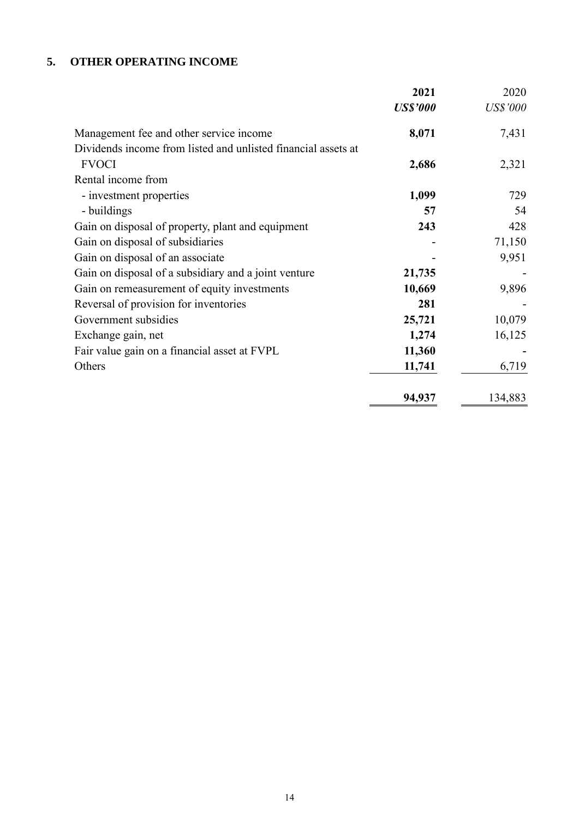## **5. OTHER OPERATING INCOME**

|                                                               | 2021            | 2020            |
|---------------------------------------------------------------|-----------------|-----------------|
|                                                               | <b>US\$'000</b> | <b>US\$'000</b> |
| Management fee and other service income                       | 8,071           | 7,431           |
| Dividends income from listed and unlisted financial assets at |                 |                 |
| <b>FVOCI</b>                                                  | 2,686           | 2,321           |
| Rental income from                                            |                 |                 |
| - investment properties                                       | 1,099           | 729             |
| - buildings                                                   | 57              | 54              |
| Gain on disposal of property, plant and equipment             | 243             | 428             |
| Gain on disposal of subsidiaries                              |                 | 71,150          |
| Gain on disposal of an associate                              |                 | 9,951           |
| Gain on disposal of a subsidiary and a joint venture          | 21,735          |                 |
| Gain on remeasurement of equity investments                   | 10,669          | 9,896           |
| Reversal of provision for inventories                         | 281             |                 |
| Government subsidies                                          | 25,721          | 10,079          |
| Exchange gain, net                                            | 1,274           | 16,125          |
| Fair value gain on a financial asset at FVPL                  | 11,360          |                 |
| Others                                                        | 11,741          | 6,719           |
|                                                               | 94,937          | 134,883         |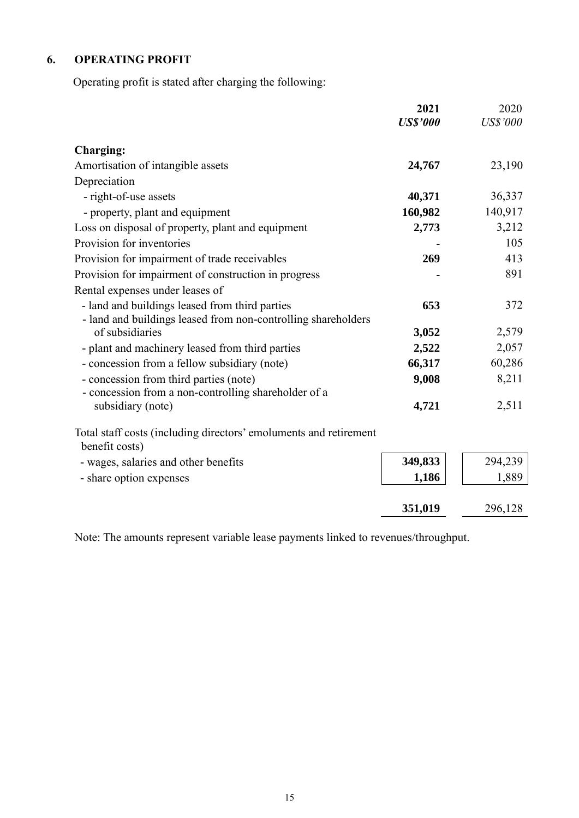## **6. OPERATING PROFIT**

Operating profit is stated after charging the following:

|                                                                   | 2021            | 2020            |
|-------------------------------------------------------------------|-----------------|-----------------|
|                                                                   | <b>US\$'000</b> | <b>US\$'000</b> |
| <b>Charging:</b>                                                  |                 |                 |
| Amortisation of intangible assets                                 | 24,767          | 23,190          |
| Depreciation                                                      |                 |                 |
| - right-of-use assets                                             | 40,371          | 36,337          |
| - property, plant and equipment                                   | 160,982         | 140,917         |
| Loss on disposal of property, plant and equipment                 | 2,773           | 3,212           |
| Provision for inventories                                         |                 | 105             |
| Provision for impairment of trade receivables                     | 269             | 413             |
| Provision for impairment of construction in progress              |                 | 891             |
| Rental expenses under leases of                                   |                 |                 |
| - land and buildings leased from third parties                    | 653             | 372             |
| - land and buildings leased from non-controlling shareholders     |                 |                 |
| of subsidiaries                                                   | 3,052           | 2,579           |
| - plant and machinery leased from third parties                   | 2,522           | 2,057           |
| - concession from a fellow subsidiary (note)                      | 66,317          | 60,286          |
| - concession from third parties (note)                            | 9,008           | 8,211           |
| - concession from a non-controlling shareholder of a              |                 |                 |
| subsidiary (note)                                                 | 4,721           | 2,511           |
| Total staff costs (including directors' emoluments and retirement |                 |                 |
| benefit costs)                                                    |                 |                 |
| - wages, salaries and other benefits                              | 349,833         | 294,239         |
| - share option expenses                                           | 1,186           | 1,889           |
|                                                                   |                 |                 |
|                                                                   | 351,019         | 296,128         |

Note: The amounts represent variable lease payments linked to revenues/throughput.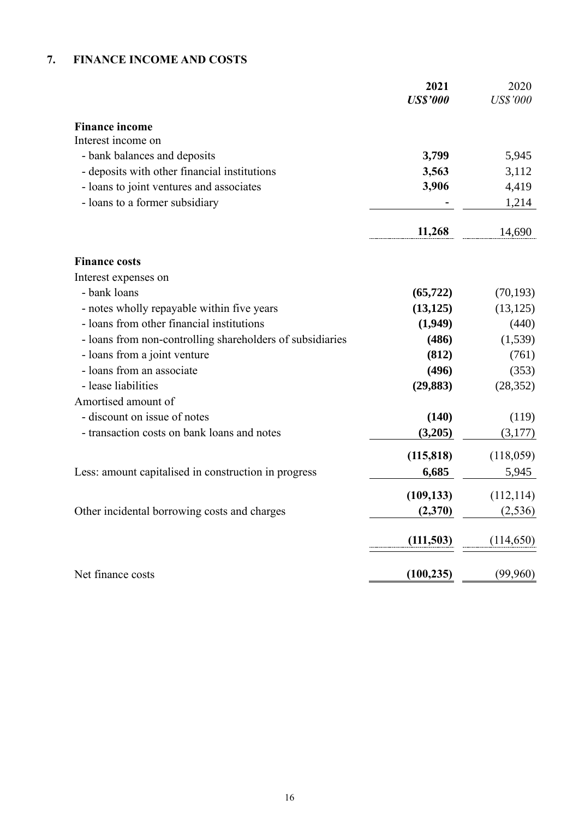## **7. FINANCE INCOME AND COSTS**

|                                                           | 2021<br><b>US\$'000</b> | 2020<br><b>US\$'000</b> |
|-----------------------------------------------------------|-------------------------|-------------------------|
| <b>Finance income</b>                                     |                         |                         |
| Interest income on                                        |                         |                         |
| - bank balances and deposits                              | 3,799                   | 5,945                   |
| - deposits with other financial institutions              | 3,563                   | 3,112                   |
| - loans to joint ventures and associates                  | 3,906                   | 4,419                   |
| - loans to a former subsidiary                            |                         | 1,214                   |
|                                                           | 11,268                  | 14,690                  |
| <b>Finance costs</b>                                      |                         |                         |
| Interest expenses on                                      |                         |                         |
| - bank loans                                              | (65, 722)               | (70, 193)               |
| - notes wholly repayable within five years                | (13, 125)               | (13, 125)               |
| - loans from other financial institutions                 | (1,949)                 | (440)                   |
| - loans from non-controlling shareholders of subsidiaries | (486)                   | (1,539)                 |
| - loans from a joint venture                              | (812)                   | (761)                   |
| - loans from an associate                                 | (496)                   | (353)                   |
| - lease liabilities                                       | (29, 883)               | (28, 352)               |
| Amortised amount of                                       |                         |                         |
| - discount on issue of notes                              | (140)                   | (119)                   |
| - transaction costs on bank loans and notes               | (3,205)                 | (3,177)                 |
|                                                           | (115, 818)              | (118,059)               |
| Less: amount capitalised in construction in progress      | 6,685                   | 5,945                   |
|                                                           | (109, 133)              | (112, 114)              |
| Other incidental borrowing costs and charges              | (2,370)                 | (2, 536)                |
|                                                           | (111, 503)              | (114, 650)              |
| Net finance costs                                         | (100, 235)              | (99,960)                |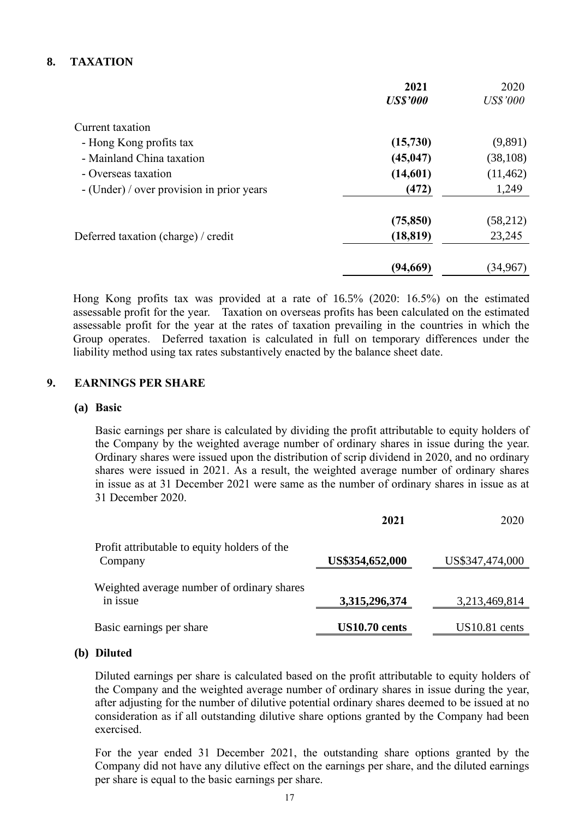### **8. TAXATION**

|                                           | 2021            | 2020            |
|-------------------------------------------|-----------------|-----------------|
|                                           | <b>US\$'000</b> | <b>US\$'000</b> |
| Current taxation                          |                 |                 |
| - Hong Kong profits tax                   | (15,730)        | (9,891)         |
| - Mainland China taxation                 | (45, 047)       | (38, 108)       |
| - Overseas taxation                       | (14,601)        | (11, 462)       |
| - (Under) / over provision in prior years | (472)           | 1,249           |
|                                           | (75, 850)       | (58,212)        |
| Deferred taxation (charge) / credit       | (18, 819)       | 23,245          |
|                                           | (94,669)        | (34,967)        |

Hong Kong profits tax was provided at a rate of 16.5% (2020: 16.5%) on the estimated assessable profit for the year. Taxation on overseas profits has been calculated on the estimated assessable profit for the year at the rates of taxation prevailing in the countries in which the Group operates. Deferred taxation is calculated in full on temporary differences under the liability method using tax rates substantively enacted by the balance sheet date.

### **9. EARNINGS PER SHARE**

#### **(a) Basic**

Basic earnings per share is calculated by dividing the profit attributable to equity holders of the Company by the weighted average number of ordinary shares in issue during the year. Ordinary shares were issued upon the distribution of scrip dividend in 2020, and no ordinary shares were issued in 2021. As a result, the weighted average number of ordinary shares in issue as at 31 December 2021 were same as the number of ordinary shares in issue as at 31 December 2020.

|                                                         | 2021            | 2020            |
|---------------------------------------------------------|-----------------|-----------------|
| Profit attributable to equity holders of the<br>Company | US\$354,652,000 | US\$347,474,000 |
| Weighted average number of ordinary shares<br>in issue  | 3,315,296,374   | 3,213,469,814   |
| Basic earnings per share                                | US10.70 cents   | $US10.81$ cents |

#### **(b) Diluted**

Diluted earnings per share is calculated based on the profit attributable to equity holders of the Company and the weighted average number of ordinary shares in issue during the year, after adjusting for the number of dilutive potential ordinary shares deemed to be issued at no consideration as if all outstanding dilutive share options granted by the Company had been exercised.

For the year ended 31 December 2021, the outstanding share options granted by the Company did not have any dilutive effect on the earnings per share, and the diluted earnings per share is equal to the basic earnings per share.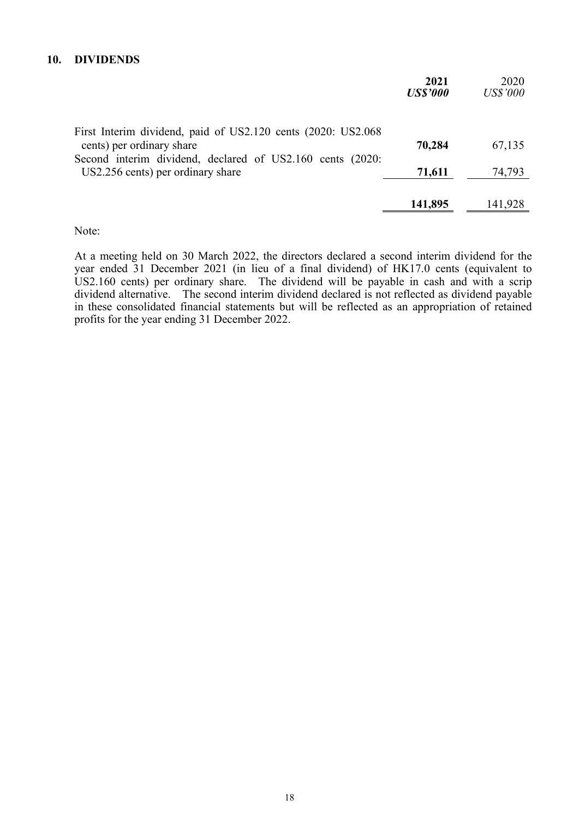#### **10. DIVIDENDS**

|                                                                                           | 2021<br><b>US\$'000</b> | 2020<br><b>US\$'000</b> |
|-------------------------------------------------------------------------------------------|-------------------------|-------------------------|
| First Interim dividend, paid of US2.120 cents (2020: US2.068<br>cents) per ordinary share | 70,284                  | 67,135                  |
| Second interim dividend, declared of US2.160 cents (2020:                                 |                         |                         |
| US2.256 cents) per ordinary share                                                         | 71,611                  | 74,793                  |
|                                                                                           | 141,895                 | 141,928                 |

Note:

At a meeting held on 30 March 2022, the directors declared a second interim dividend for the year ended 31 December 2021 (in lieu of a final dividend) of HK17.0 cents (equivalent to US2.160 cents) per ordinary share. The dividend will be payable in cash and with a scrip dividend alternative. The second interim dividend declared is not reflected as dividend payable in these consolidated financial statements but will be reflected as an appropriation of retained profits for the year ending 31 December 2022.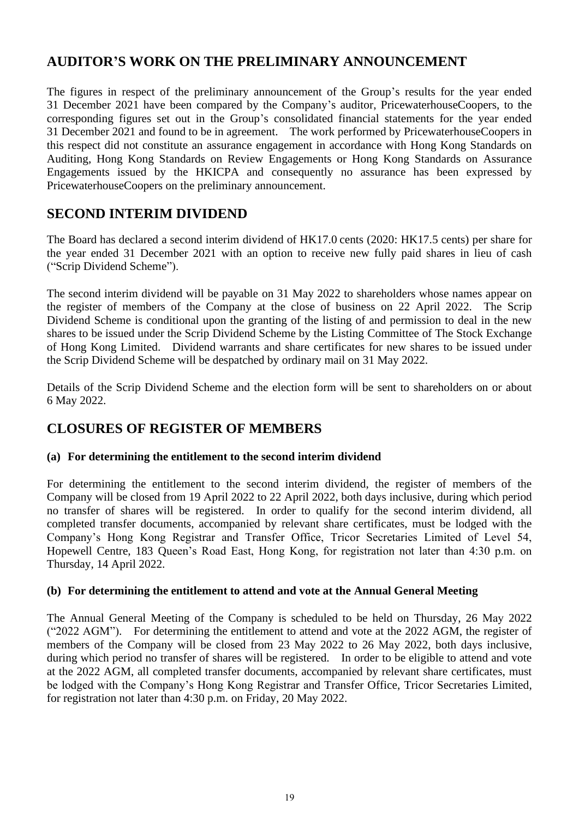## **AUDITOR'S WORK ON THE PRELIMINARY ANNOUNCEMENT**

The figures in respect of the preliminary announcement of the Group's results for the year ended 31 December 2021 have been compared by the Company's auditor, PricewaterhouseCoopers, to the corresponding figures set out in the Group's consolidated financial statements for the year ended 31 December 2021 and found to be in agreement. The work performed by PricewaterhouseCoopers in this respect did not constitute an assurance engagement in accordance with Hong Kong Standards on Auditing, Hong Kong Standards on Review Engagements or Hong Kong Standards on Assurance Engagements issued by the HKICPA and consequently no assurance has been expressed by PricewaterhouseCoopers on the preliminary announcement.

## **SECOND INTERIM DIVIDEND**

The Board has declared a second interim dividend of HK17.0 cents (2020: HK17.5 cents) per share for the year ended 31 December 2021 with an option to receive new fully paid shares in lieu of cash ("Scrip Dividend Scheme").

The second interim dividend will be payable on 31 May 2022 to shareholders whose names appear on the register of members of the Company at the close of business on 22 April 2022. The Scrip Dividend Scheme is conditional upon the granting of the listing of and permission to deal in the new shares to be issued under the Scrip Dividend Scheme by the Listing Committee of The Stock Exchange of Hong Kong Limited. Dividend warrants and share certificates for new shares to be issued under the Scrip Dividend Scheme will be despatched by ordinary mail on 31 May 2022.

Details of the Scrip Dividend Scheme and the election form will be sent to shareholders on or about 6 May 2022.

## **CLOSURES OF REGISTER OF MEMBERS**

### **(a) For determining the entitlement to the second interim dividend**

For determining the entitlement to the second interim dividend, the register of members of the Company will be closed from 19 April 2022 to 22 April 2022, both days inclusive, during which period no transfer of shares will be registered. In order to qualify for the second interim dividend, all completed transfer documents, accompanied by relevant share certificates, must be lodged with the Company's Hong Kong Registrar and Transfer Office, Tricor Secretaries Limited of Level 54, Hopewell Centre, 183 Queen's Road East, Hong Kong, for registration not later than 4:30 p.m. on Thursday, 14 April 2022.

### **(b) For determining the entitlement to attend and vote at the Annual General Meeting**

The Annual General Meeting of the Company is scheduled to be held on Thursday, 26 May 2022 ("2022 AGM"). For determining the entitlement to attend and vote at the 2022 AGM, the register of members of the Company will be closed from 23 May 2022 to 26 May 2022, both days inclusive, during which period no transfer of shares will be registered. In order to be eligible to attend and vote at the 2022 AGM, all completed transfer documents, accompanied by relevant share certificates, must be lodged with the Company's Hong Kong Registrar and Transfer Office, Tricor Secretaries Limited, for registration not later than 4:30 p.m. on Friday, 20 May 2022.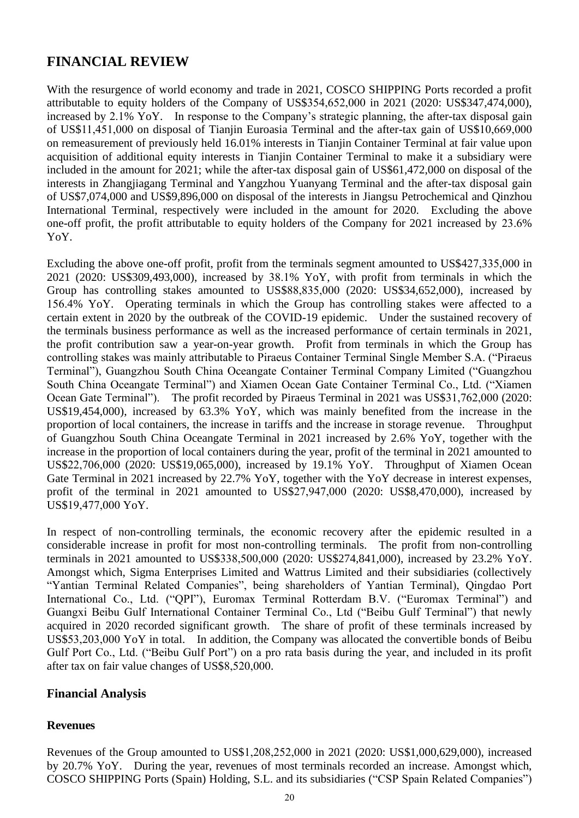## **FINANCIAL REVIEW**

With the resurgence of world economy and trade in 2021, COSCO SHIPPING Ports recorded a profit attributable to equity holders of the Company of US\$354,652,000 in 2021 (2020: US\$347,474,000), increased by 2.1% YoY. In response to the Company's strategic planning, the after-tax disposal gain of US\$11,451,000 on disposal of Tianjin Euroasia Terminal and the after-tax gain of US\$10,669,000 on remeasurement of previously held 16.01% interests in Tianjin Container Terminal at fair value upon acquisition of additional equity interests in Tianjin Container Terminal to make it a subsidiary were included in the amount for 2021; while the after-tax disposal gain of US\$61,472,000 on disposal of the interests in Zhangjiagang Terminal and Yangzhou Yuanyang Terminal and the after-tax disposal gain of US\$7,074,000 and US\$9,896,000 on disposal of the interests in Jiangsu Petrochemical and Qinzhou International Terminal, respectively were included in the amount for 2020. Excluding the above one-off profit, the profit attributable to equity holders of the Company for 2021 increased by 23.6% YoY.

Excluding the above one-off profit, profit from the terminals segment amounted to US\$427,335,000 in 2021 (2020: US\$309,493,000), increased by 38.1% YoY, with profit from terminals in which the Group has controlling stakes amounted to US\$88,835,000 (2020: US\$34,652,000), increased by 156.4% YoY. Operating terminals in which the Group has controlling stakes were affected to a certain extent in 2020 by the outbreak of the COVID-19 epidemic. Under the sustained recovery of the terminals business performance as well as the increased performance of certain terminals in 2021, the profit contribution saw a year-on-year growth. Profit from terminals in which the Group has controlling stakes was mainly attributable to Piraeus Container Terminal Single Member S.A. ("Piraeus Terminal"), Guangzhou South China Oceangate Container Terminal Company Limited ("Guangzhou South China Oceangate Terminal") and Xiamen Ocean Gate Container Terminal Co., Ltd. ("Xiamen Ocean Gate Terminal"). The profit recorded by Piraeus Terminal in 2021 was US\$31,762,000 (2020: US\$19,454,000), increased by 63.3% YoY, which was mainly benefited from the increase in the proportion of local containers, the increase in tariffs and the increase in storage revenue. Throughput of Guangzhou South China Oceangate Terminal in 2021 increased by 2.6% YoY, together with the increase in the proportion of local containers during the year, profit of the terminal in 2021 amounted to US\$22,706,000 (2020: US\$19,065,000), increased by 19.1% YoY. Throughput of Xiamen Ocean Gate Terminal in 2021 increased by 22.7% YoY, together with the YoY decrease in interest expenses, profit of the terminal in 2021 amounted to US\$27,947,000 (2020: US\$8,470,000), increased by US\$19,477,000 YoY.

In respect of non-controlling terminals, the economic recovery after the epidemic resulted in a considerable increase in profit for most non-controlling terminals. The profit from non-controlling terminals in 2021 amounted to US\$338,500,000 (2020: US\$274,841,000), increased by 23.2% YoY. Amongst which, Sigma Enterprises Limited and Wattrus Limited and their subsidiaries (collectively "Yantian Terminal Related Companies", being shareholders of Yantian Terminal), Qingdao Port International Co., Ltd. ("QPI"), Euromax Terminal Rotterdam B.V. ("Euromax Terminal") and Guangxi Beibu Gulf International Container Terminal Co., Ltd ("Beibu Gulf Terminal") that newly acquired in 2020 recorded significant growth. The share of profit of these terminals increased by US\$53,203,000 YoY in total. In addition, the Company was allocated the convertible bonds of Beibu Gulf Port Co., Ltd. ("Beibu Gulf Port") on a pro rata basis during the year, and included in its profit after tax on fair value changes of US\$8,520,000.

### **Financial Analysis**

### **Revenues**

Revenues of the Group amounted to US\$1,208,252,000 in 2021 (2020: US\$1,000,629,000), increased by 20.7% YoY. During the year, revenues of most terminals recorded an increase. Amongst which, COSCO SHIPPING Ports (Spain) Holding, S.L. and its subsidiaries ("CSP Spain Related Companies")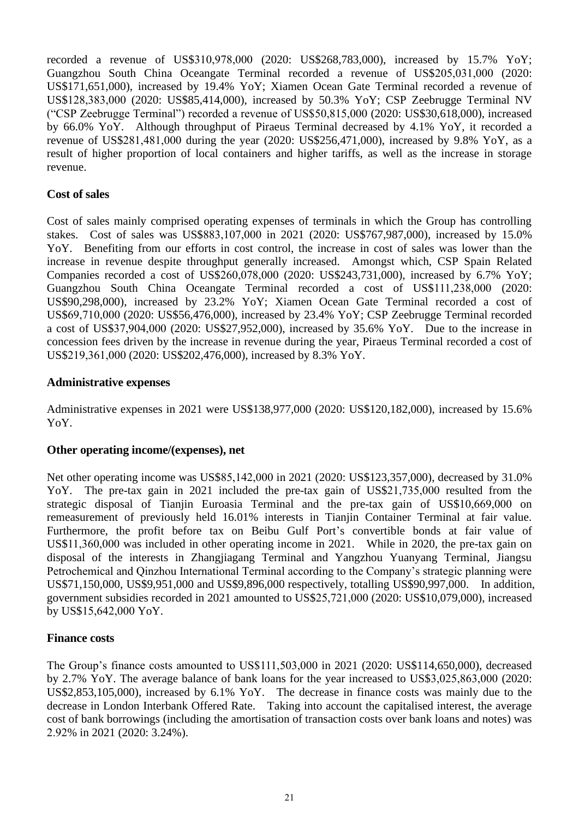recorded a revenue of US\$310,978,000 (2020: US\$268,783,000), increased by 15.7% YoY; Guangzhou South China Oceangate Terminal recorded a revenue of US\$205,031,000 (2020: US\$171,651,000), increased by 19.4% YoY; Xiamen Ocean Gate Terminal recorded a revenue of US\$128,383,000 (2020: US\$85,414,000), increased by 50.3% YoY; CSP Zeebrugge Terminal NV ("CSP Zeebrugge Terminal") recorded a revenue of US\$50,815,000 (2020: US\$30,618,000), increased by 66.0% YoY. Although throughput of Piraeus Terminal decreased by 4.1% YoY, it recorded a revenue of US\$281,481,000 during the year (2020: US\$256,471,000), increased by 9.8% YoY, as a result of higher proportion of local containers and higher tariffs, as well as the increase in storage revenue.

### **Cost of sales**

Cost of sales mainly comprised operating expenses of terminals in which the Group has controlling stakes. Cost of sales was US\$883,107,000 in 2021 (2020: US\$767,987,000), increased by 15.0% YoY. Benefiting from our efforts in cost control, the increase in cost of sales was lower than the increase in revenue despite throughput generally increased. Amongst which, CSP Spain Related Companies recorded a cost of US\$260,078,000 (2020: US\$243,731,000), increased by 6.7% YoY; Guangzhou South China Oceangate Terminal recorded a cost of US\$111,238,000 (2020: US\$90,298,000), increased by 23.2% YoY; Xiamen Ocean Gate Terminal recorded a cost of US\$69,710,000 (2020: US\$56,476,000), increased by 23.4% YoY; CSP Zeebrugge Terminal recorded a cost of US\$37,904,000 (2020: US\$27,952,000), increased by 35.6% YoY. Due to the increase in concession fees driven by the increase in revenue during the year, Piraeus Terminal recorded a cost of US\$219,361,000 (2020: US\$202,476,000), increased by 8.3% YoY.

#### **Administrative expenses**

Administrative expenses in 2021 were US\$138,977,000 (2020: US\$120,182,000), increased by 15.6% YoY.

#### **Other operating income/(expenses), net**

Net other operating income was US\$85,142,000 in 2021 (2020: US\$123,357,000), decreased by 31.0% YoY. The pre-tax gain in 2021 included the pre-tax gain of US\$21,735,000 resulted from the strategic disposal of Tianjin Euroasia Terminal and the pre-tax gain of US\$10,669,000 on remeasurement of previously held 16.01% interests in Tianjin Container Terminal at fair value. Furthermore, the profit before tax on Beibu Gulf Port's convertible bonds at fair value of US\$11,360,000 was included in other operating income in 2021. While in 2020, the pre-tax gain on disposal of the interests in Zhangjiagang Terminal and Yangzhou Yuanyang Terminal, Jiangsu Petrochemical and Qinzhou International Terminal according to the Company's strategic planning were US\$71,150,000, US\$9,951,000 and US\$9,896,000 respectively, totalling US\$90,997,000. In addition, government subsidies recorded in 2021 amounted to US\$25,721,000 (2020: US\$10,079,000), increased by US\$15,642,000 YoY.

#### **Finance costs**

The Group's finance costs amounted to US\$111,503,000 in 2021 (2020: US\$114,650,000), decreased by 2.7% YoY. The average balance of bank loans for the year increased to US\$3,025,863,000 (2020: US\$2,853,105,000), increased by 6.1% YoY. The decrease in finance costs was mainly due to the decrease in London Interbank Offered Rate. Taking into account the capitalised interest, the average cost of bank borrowings (including the amortisation of transaction costs over bank loans and notes) was 2.92% in 2021 (2020: 3.24%).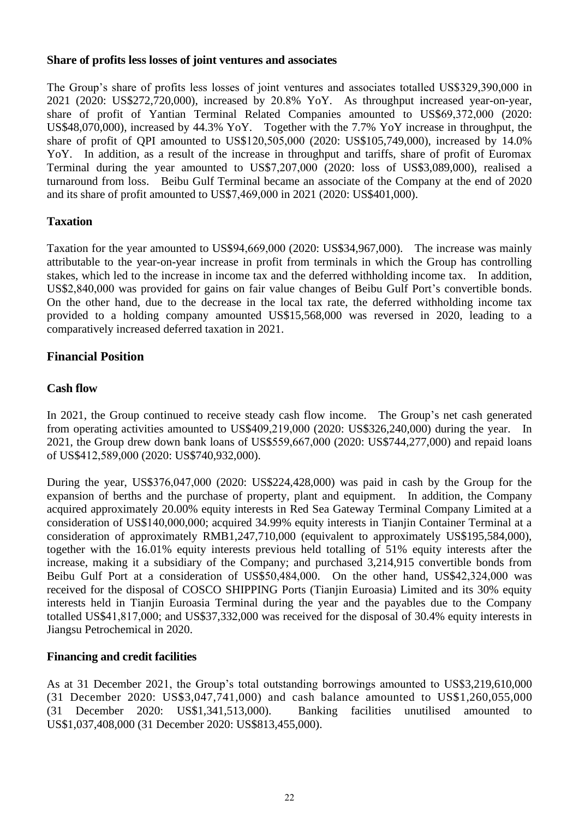#### **Share of profits less losses of joint ventures and associates**

The Group's share of profits less losses of joint ventures and associates totalled US\$329,390,000 in 2021 (2020: US\$272,720,000), increased by 20.8% YoY. As throughput increased year-on-year, share of profit of Yantian Terminal Related Companies amounted to US\$69,372,000 (2020: US\$48,070,000), increased by 44.3% YoY. Together with the 7.7% YoY increase in throughput, the share of profit of QPI amounted to US\$120,505,000 (2020: US\$105,749,000), increased by 14.0% YoY. In addition, as a result of the increase in throughput and tariffs, share of profit of Euromax Terminal during the year amounted to US\$7,207,000 (2020: loss of US\$3,089,000), realised a turnaround from loss. Beibu Gulf Terminal became an associate of the Company at the end of 2020 and its share of profit amounted to US\$7,469,000 in 2021 (2020: US\$401,000).

### **Taxation**

Taxation for the year amounted to US\$94,669,000 (2020: US\$34,967,000). The increase was mainly attributable to the year-on-year increase in profit from terminals in which the Group has controlling stakes, which led to the increase in income tax and the deferred withholding income tax. In addition, US\$2,840,000 was provided for gains on fair value changes of Beibu Gulf Port's convertible bonds. On the other hand, due to the decrease in the local tax rate, the deferred withholding income tax provided to a holding company amounted US\$15,568,000 was reversed in 2020, leading to a comparatively increased deferred taxation in 2021.

## **Financial Position**

### **Cash flow**

In 2021, the Group continued to receive steady cash flow income. The Group's net cash generated from operating activities amounted to US\$409,219,000 (2020: US\$326,240,000) during the year. In 2021, the Group drew down bank loans of US\$559,667,000 (2020: US\$744,277,000) and repaid loans of US\$412,589,000 (2020: US\$740,932,000).

During the year, US\$376,047,000 (2020: US\$224,428,000) was paid in cash by the Group for the expansion of berths and the purchase of property, plant and equipment. In addition, the Company acquired approximately 20.00% equity interests in Red Sea Gateway Terminal Company Limited at a consideration of US\$140,000,000; acquired 34.99% equity interests in Tianjin Container Terminal at a consideration of approximately RMB1,247,710,000 (equivalent to approximately US\$195,584,000), together with the 16.01% equity interests previous held totalling of 51% equity interests after the increase, making it a subsidiary of the Company; and purchased 3,214,915 convertible bonds from Beibu Gulf Port at a consideration of US\$50,484,000. On the other hand, US\$42,324,000 was received for the disposal of COSCO SHIPPING Ports (Tianjin Euroasia) Limited and its 30% equity interests held in Tianjin Euroasia Terminal during the year and the payables due to the Company totalled US\$41,817,000; and US\$37,332,000 was received for the disposal of 30.4% equity interests in Jiangsu Petrochemical in 2020.

### **Financing and credit facilities**

As at 31 December 2021, the Group's total outstanding borrowings amounted to US\$3,219,610,000 (31 December 2020: US\$3,047,741,000) and cash balance amounted to US\$1,260,055,000 (31 December 2020: US\$1,341,513,000). Banking facilities unutilised amounted to US\$1,037,408,000 (31 December 2020: US\$813,455,000).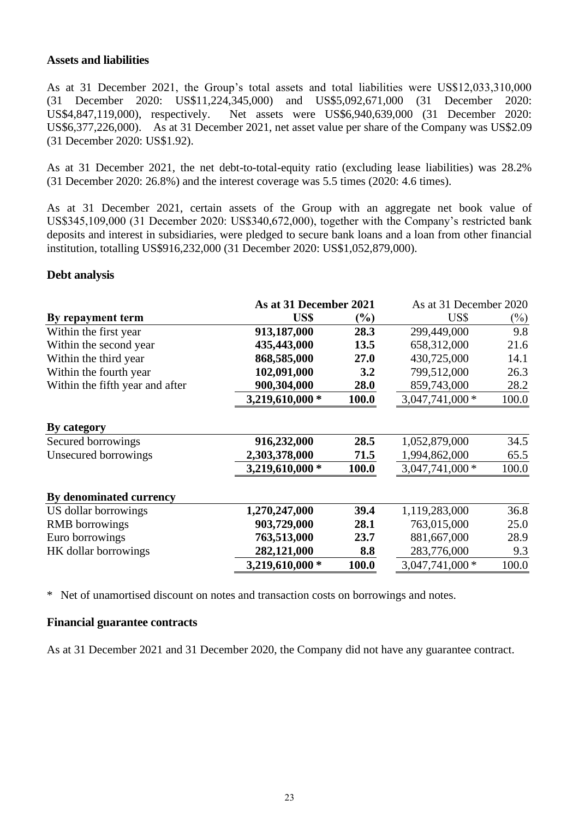#### **Assets and liabilities**

As at 31 December 2021, the Group's total assets and total liabilities were US\$12,033,310,000 (31 December 2020: US\$11,224,345,000) and US\$5,092,671,000 (31 December 2020: US\$4,847,119,000), respectively. Net assets were US\$6,940,639,000 (31 December 2020: US\$6,377,226,000). As at 31 December 2021, net asset value per share of the Company was US\$2.09 (31 December 2020: US\$1.92).

As at 31 December 2021, the net debt-to-total-equity ratio (excluding lease liabilities) was 28.2% (31 December 2020: 26.8%) and the interest coverage was 5.5 times (2020: 4.6 times).

As at 31 December 2021, certain assets of the Group with an aggregate net book value of US\$345,109,000 (31 December 2020: US\$340,672,000), together with the Company's restricted bank deposits and interest in subsidiaries, were pledged to secure bank loans and a loan from other financial institution, totalling US\$916,232,000 (31 December 2020: US\$1,052,879,000).

#### **Debt analysis**

|                                 | As at 31 December 2021 |        | As at 31 December 2020 |        |
|---------------------------------|------------------------|--------|------------------------|--------|
| By repayment term               | US\$                   | $(\%)$ | US\$                   | $(\%)$ |
| Within the first year           | 913,187,000            | 28.3   | 299,449,000            | 9.8    |
| Within the second year          | 435,443,000            | 13.5   | 658,312,000            | 21.6   |
| Within the third year           | 868,585,000            | 27.0   | 430,725,000            | 14.1   |
| Within the fourth year          | 102,091,000            | 3.2    | 799,512,000            | 26.3   |
| Within the fifth year and after | 900,304,000            | 28.0   | 859,743,000            | 28.2   |
|                                 | 3,219,610,000 *        | 100.0  | $3,047,741,000*$       | 100.0  |
| By category                     |                        |        |                        |        |
| Secured borrowings              | 916,232,000            | 28.5   | 1,052,879,000          | 34.5   |
| Unsecured borrowings            | 2,303,378,000          | 71.5   | 1,994,862,000          | 65.5   |
|                                 | 3,219,610,000 *        | 100.0  | $3,047,741,000*$       | 100.0  |
| By denominated currency         |                        |        |                        |        |
| US dollar borrowings            | 1,270,247,000          | 39.4   | 1,119,283,000          | 36.8   |
| <b>RMB</b> borrowings           | 903,729,000            | 28.1   | 763,015,000            | 25.0   |
| Euro borrowings                 | 763,513,000            | 23.7   | 881,667,000            | 28.9   |
| HK dollar borrowings            | 282,121,000            | 8.8    | 283,776,000            | 9.3    |
|                                 | 3,219,610,000 *        | 100.0  | $3,047,741,000*$       | 100.0  |

\* Net of unamortised discount on notes and transaction costs on borrowings and notes.

#### **Financial guarantee contracts**

As at 31 December 2021 and 31 December 2020, the Company did not have any guarantee contract.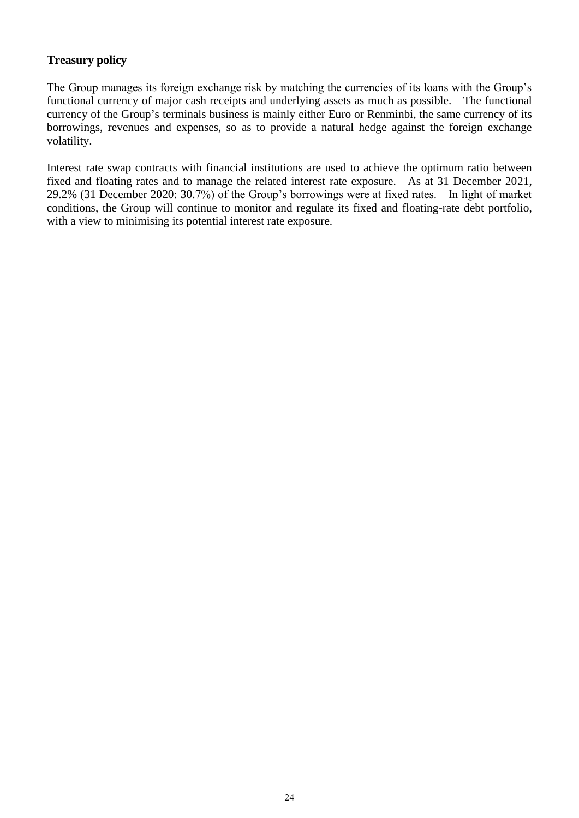### **Treasury policy**

The Group manages its foreign exchange risk by matching the currencies of its loans with the Group's functional currency of major cash receipts and underlying assets as much as possible. The functional currency of the Group's terminals business is mainly either Euro or Renminbi, the same currency of its borrowings, revenues and expenses, so as to provide a natural hedge against the foreign exchange volatility.

Interest rate swap contracts with financial institutions are used to achieve the optimum ratio between fixed and floating rates and to manage the related interest rate exposure. As at 31 December 2021, 29.2% (31 December 2020: 30.7%) of the Group's borrowings were at fixed rates. In light of market conditions, the Group will continue to monitor and regulate its fixed and floating-rate debt portfolio, with a view to minimising its potential interest rate exposure.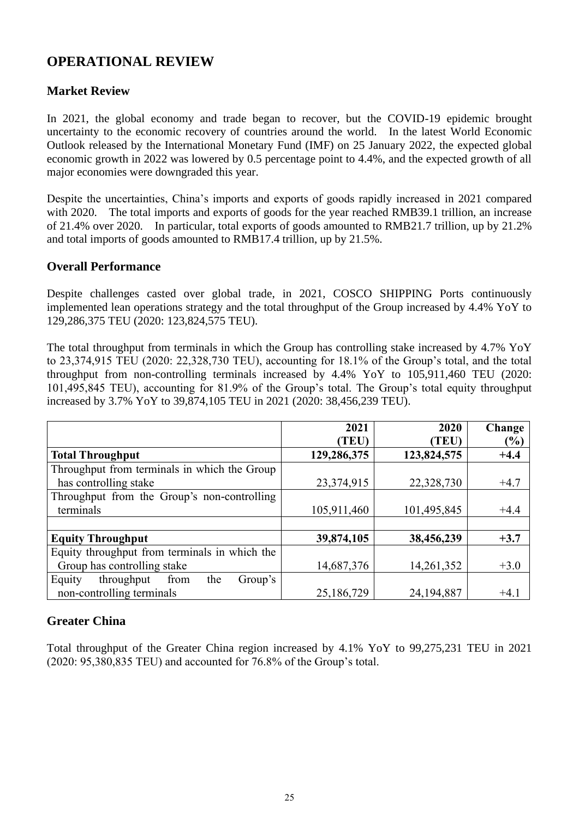## **OPERATIONAL REVIEW**

## **Market Review**

In 2021, the global economy and trade began to recover, but the COVID-19 epidemic brought uncertainty to the economic recovery of countries around the world. In the latest World Economic Outlook released by the International Monetary Fund (IMF) on 25 January 2022, the expected global economic growth in 2022 was lowered by 0.5 percentage point to 4.4%, and the expected growth of all major economies were downgraded this year.

Despite the uncertainties, China's imports and exports of goods rapidly increased in 2021 compared with 2020. The total imports and exports of goods for the year reached RMB39.1 trillion, an increase of 21.4% over 2020. In particular, total exports of goods amounted to RMB21.7 trillion, up by 21.2% and total imports of goods amounted to RMB17.4 trillion, up by 21.5%.

### **Overall Performance**

Despite challenges casted over global trade, in 2021, COSCO SHIPPING Ports continuously implemented lean operations strategy and the total throughput of the Group increased by 4.4% YoY to 129,286,375 TEU (2020: 123,824,575 TEU).

The total throughput from terminals in which the Group has controlling stake increased by 4.7% YoY to 23,374,915 TEU (2020: 22,328,730 TEU), accounting for 18.1% of the Group's total, and the total throughput from non-controlling terminals increased by 4.4% YoY to 105,911,460 TEU (2020: 101,495,845 TEU), accounting for 81.9% of the Group's total. The Group's total equity throughput increased by 3.7% YoY to 39,874,105 TEU in 2021 (2020: 38,456,239 TEU).

|                                                | 2021<br>(TEU) | 2020<br>(TEU) | Change<br>(%) |
|------------------------------------------------|---------------|---------------|---------------|
| <b>Total Throughput</b>                        | 129,286,375   | 123,824,575   | $+4.4$        |
| Throughput from terminals in which the Group   |               |               |               |
| has controlling stake                          | 23,374,915    | 22,328,730    | $+4.7$        |
| Throughput from the Group's non-controlling    |               |               |               |
| terminals                                      | 105,911,460   | 101,495,845   | $+4.4$        |
|                                                |               |               |               |
| <b>Equity Throughput</b>                       | 39,874,105    | 38,456,239    | $+3.7$        |
| Equity throughput from terminals in which the  |               |               |               |
| Group has controlling stake                    | 14,687,376    | 14,261,352    | $+3.0$        |
| Equity<br>throughput<br>from<br>the<br>Group's |               |               |               |
| non-controlling terminals                      | 25,186,729    | 24,194,887    | $+4.1$        |

## **Greater China**

Total throughput of the Greater China region increased by 4.1% YoY to 99,275,231 TEU in 2021 (2020: 95,380,835 TEU) and accounted for 76.8% of the Group's total.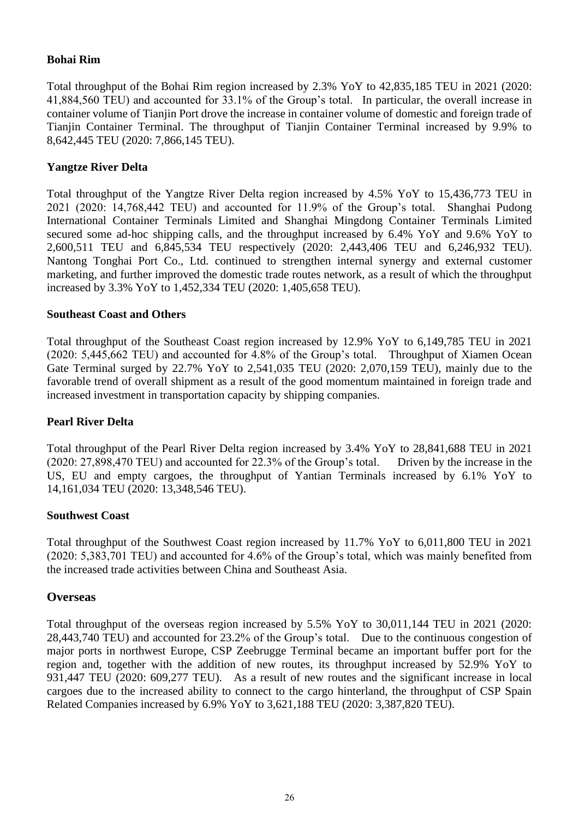### **Bohai Rim**

Total throughput of the Bohai Rim region increased by 2.3% YoY to 42,835,185 TEU in 2021 (2020: 41,884,560 TEU) and accounted for 33.1% of the Group's total. In particular, the overall increase in container volume of Tianjin Port drove the increase in container volume of domestic and foreign trade of Tianjin Container Terminal. The throughput of Tianjin Container Terminal increased by 9.9% to 8,642,445 TEU (2020: 7,866,145 TEU).

#### **Yangtze River Delta**

Total throughput of the Yangtze River Delta region increased by 4.5% YoY to 15,436,773 TEU in 2021 (2020: 14,768,442 TEU) and accounted for 11.9% of the Group's total. Shanghai Pudong International Container Terminals Limited and Shanghai Mingdong Container Terminals Limited secured some ad-hoc shipping calls, and the throughput increased by 6.4% YoY and 9.6% YoY to 2,600,511 TEU and 6,845,534 TEU respectively (2020: 2,443,406 TEU and 6,246,932 TEU). Nantong Tonghai Port Co., Ltd. continued to strengthen internal synergy and external customer marketing, and further improved the domestic trade routes network, as a result of which the throughput increased by 3.3% YoY to 1,452,334 TEU (2020: 1,405,658 TEU).

#### **Southeast Coast and Others**

Total throughput of the Southeast Coast region increased by 12.9% YoY to 6,149,785 TEU in 2021 (2020: 5,445,662 TEU) and accounted for 4.8% of the Group's total. Throughput of Xiamen Ocean Gate Terminal surged by 22.7% YoY to 2,541,035 TEU (2020: 2,070,159 TEU), mainly due to the favorable trend of overall shipment as a result of the good momentum maintained in foreign trade and increased investment in transportation capacity by shipping companies.

#### **Pearl River Delta**

Total throughput of the Pearl River Delta region increased by 3.4% YoY to 28,841,688 TEU in 2021 (2020: 27,898,470 TEU) and accounted for 22.3% of the Group's total. Driven by the increase in the US, EU and empty cargoes, the throughput of Yantian Terminals increased by 6.1% YoY to 14,161,034 TEU (2020: 13,348,546 TEU).

#### **Southwest Coast**

Total throughput of the Southwest Coast region increased by 11.7% YoY to 6,011,800 TEU in 2021 (2020: 5,383,701 TEU) and accounted for 4.6% of the Group's total, which was mainly benefited from the increased trade activities between China and Southeast Asia.

#### **Overseas**

Total throughput of the overseas region increased by 5.5% YoY to 30,011,144 TEU in 2021 (2020: 28,443,740 TEU) and accounted for 23.2% of the Group's total. Due to the continuous congestion of major ports in northwest Europe, CSP Zeebrugge Terminal became an important buffer port for the region and, together with the addition of new routes, its throughput increased by 52.9% YoY to 931,447 TEU (2020: 609,277 TEU). As a result of new routes and the significant increase in local cargoes due to the increased ability to connect to the cargo hinterland, the throughput of CSP Spain Related Companies increased by 6.9% YoY to 3,621,188 TEU (2020: 3,387,820 TEU).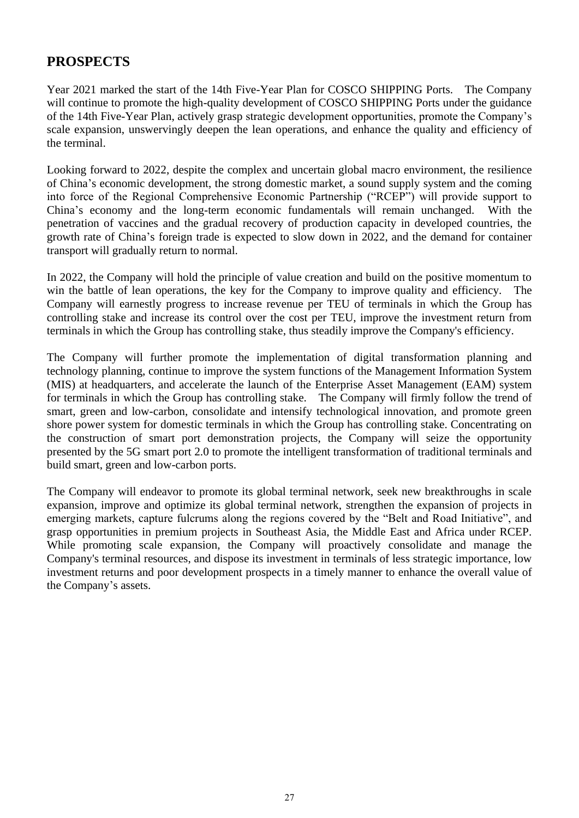## **PROSPECTS**

Year 2021 marked the start of the 14th Five-Year Plan for COSCO SHIPPING Ports. The Company will continue to promote the high-quality development of COSCO SHIPPING Ports under the guidance of the 14th Five-Year Plan, actively grasp strategic development opportunities, promote the Company's scale expansion, unswervingly deepen the lean operations, and enhance the quality and efficiency of the terminal.

Looking forward to 2022, despite the complex and uncertain global macro environment, the resilience of China's economic development, the strong domestic market, a sound supply system and the coming into force of the Regional Comprehensive Economic Partnership ("RCEP") will provide support to China's economy and the long-term economic fundamentals will remain unchanged. With the penetration of vaccines and the gradual recovery of production capacity in developed countries, the growth rate of China's foreign trade is expected to slow down in 2022, and the demand for container transport will gradually return to normal.

In 2022, the Company will hold the principle of value creation and build on the positive momentum to win the battle of lean operations, the key for the Company to improve quality and efficiency. The Company will earnestly progress to increase revenue per TEU of terminals in which the Group has controlling stake and increase its control over the cost per TEU, improve the investment return from terminals in which the Group has controlling stake, thus steadily improve the Company's efficiency.

The Company will further promote the implementation of digital transformation planning and technology planning, continue to improve the system functions of the Management Information System (MIS) at headquarters, and accelerate the launch of the Enterprise Asset Management (EAM) system for terminals in which the Group has controlling stake. The Company will firmly follow the trend of smart, green and low-carbon, consolidate and intensify technological innovation, and promote green shore power system for domestic terminals in which the Group has controlling stake. Concentrating on the construction of smart port demonstration projects, the Company will seize the opportunity presented by the 5G smart port 2.0 to promote the intelligent transformation of traditional terminals and build smart, green and low-carbon ports.

The Company will endeavor to promote its global terminal network, seek new breakthroughs in scale expansion, improve and optimize its global terminal network, strengthen the expansion of projects in emerging markets, capture fulcrums along the regions covered by the "Belt and Road Initiative", and grasp opportunities in premium projects in Southeast Asia, the Middle East and Africa under RCEP. While promoting scale expansion, the Company will proactively consolidate and manage the Company's terminal resources, and dispose its investment in terminals of less strategic importance, low investment returns and poor development prospects in a timely manner to enhance the overall value of the Company's assets.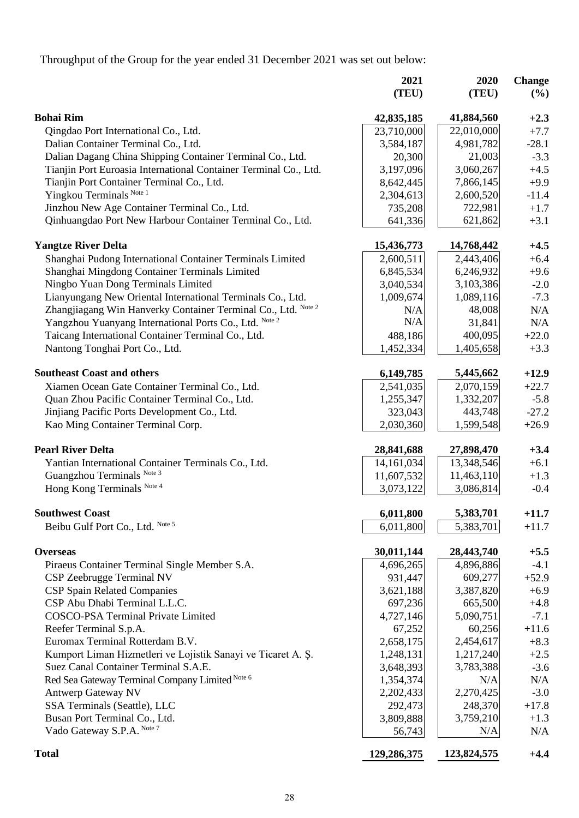Throughput of the Group for the year ended 31 December 2021 was set out below:

|                                                                                                      | 2021<br>(TEU)       | 2020<br>(TEU) | <b>Change</b><br>(%) |
|------------------------------------------------------------------------------------------------------|---------------------|---------------|----------------------|
| <b>Bohai Rim</b>                                                                                     | 42,835,185          | 41,884,560    | $+2.3$               |
| Qingdao Port International Co., Ltd.                                                                 | 23,710,000          | 22,010,000    | $+7.7$               |
| Dalian Container Terminal Co., Ltd.                                                                  | 3,584,187           | 4,981,782     | $-28.1$              |
| Dalian Dagang China Shipping Container Terminal Co., Ltd.                                            | 20,300              | 21,003        | $-3.3$               |
| Tianjin Port Euroasia International Container Terminal Co., Ltd.                                     | 3,197,096           | 3,060,267     | $+4.5$               |
| Tianjin Port Container Terminal Co., Ltd.                                                            | 8,642,445           | 7,866,145     | $+9.9$               |
| Yingkou Terminals Note 1                                                                             | 2,304,613           | 2,600,520     | $-11.4$              |
| Jinzhou New Age Container Terminal Co., Ltd.                                                         | 735,208             | 722,981       | $+1.7$               |
| Qinhuangdao Port New Harbour Container Terminal Co., Ltd.                                            | 641,336             | 621,862       | $+3.1$               |
| <b>Yangtze River Delta</b>                                                                           | 15,436,773          | 14,768,442    | $+4.5$               |
| Shanghai Pudong International Container Terminals Limited                                            | 2,600,511           | 2,443,406     | $+6.4$               |
| Shanghai Mingdong Container Terminals Limited                                                        | 6,845,534           | 6,246,932     | $+9.6$               |
| Ningbo Yuan Dong Terminals Limited                                                                   | 3,040,534           | 3,103,386     | $-2.0$               |
| Lianyungang New Oriental International Terminals Co., Ltd.                                           | 1,009,674           | 1,089,116     | $-7.3$               |
| Zhangjiagang Win Hanverky Container Terminal Co., Ltd. Note 2                                        | N/A                 | 48,008        | N/A                  |
| Yangzhou Yuanyang International Ports Co., Ltd. Note 2                                               | N/A                 | 31,841        | N/A                  |
| Taicang International Container Terminal Co., Ltd.                                                   | 488,186             | 400,095       | $+22.0$              |
| Nantong Tonghai Port Co., Ltd.                                                                       | 1,452,334           | 1,405,658     | $+3.3$               |
| <b>Southeast Coast and others</b>                                                                    | 6,149,785           | 5,445,662     | $+12.9$              |
| Xiamen Ocean Gate Container Terminal Co., Ltd.                                                       | 2,541,035           | 2,070,159     | $+22.7$              |
| Quan Zhou Pacific Container Terminal Co., Ltd.                                                       | 1,255,347           | 1,332,207     | $-5.8$               |
| Jinjiang Pacific Ports Development Co., Ltd.                                                         | 323,043             | 443,748       | $-27.2$              |
| Kao Ming Container Terminal Corp.                                                                    | 2,030,360           | 1,599,548     | $+26.9$              |
| <b>Pearl River Delta</b>                                                                             | 28,841,688          | 27,898,470    | $+3.4$               |
| Yantian International Container Terminals Co., Ltd.                                                  | 14, 161, 034        | 13,348,546    | $+6.1$               |
| Guangzhou Terminals Note 3                                                                           | 11,607,532          | 11,463,110    | $+1.3$               |
| Hong Kong Terminals Note 4                                                                           | 3,073,122           | 3,086,814     | $-0.4$               |
| <b>Southwest Coast</b>                                                                               | 6,011,800           | 5,383,701     | $+11.7$              |
| Beibu Gulf Port Co., Ltd. Note 5                                                                     | 6,011,800           | 5,383,701     | $+11.7$              |
| <b>Overseas</b>                                                                                      | 30,011,144          | 28,443,740    | $+5.5$               |
|                                                                                                      | 4,696,265           | 4,896,886     | $-4.1$               |
| Piraeus Container Terminal Single Member S.A.<br>CSP Zeebrugge Terminal NV                           | 931,447             | 609,277       | $+52.9$              |
| <b>CSP Spain Related Companies</b>                                                                   | 3,621,188           | 3,387,820     | $+6.9$               |
| CSP Abu Dhabi Terminal L.L.C.                                                                        |                     | 665,500       |                      |
| <b>COSCO-PSA Terminal Private Limited</b>                                                            | 697,236             |               | $+4.8$<br>$-7.1$     |
| Reefer Terminal S.p.A.                                                                               | 4,727,146<br>67,252 | 5,090,751     | $+11.6$              |
| Euromax Terminal Rotterdam B.V.                                                                      |                     | 60,256        |                      |
|                                                                                                      | 2,658,175           | 2,454,617     | $+8.3$               |
| Kumport Liman Hizmetleri ve Lojistik Sanayi ve Ticaret A. Ș.<br>Suez Canal Container Terminal S.A.E. | 1,248,131           | 1,217,240     | $+2.5$               |
|                                                                                                      | 3,648,393           | 3,783,388     | $-3.6$               |
| Red Sea Gateway Terminal Company Limited Note 6                                                      | 1,354,374           | N/A           | N/A                  |
| <b>Antwerp Gateway NV</b>                                                                            | 2,202,433           | 2,270,425     | $-3.0$               |
| SSA Terminals (Seattle), LLC                                                                         | 292,473             | 248,370       | $+17.8$              |
| Busan Port Terminal Co., Ltd.                                                                        | 3,809,888           | 3,759,210     | $+1.3$               |
| Vado Gateway S.P.A. Note 7                                                                           | 56,743              | N/A           | N/A                  |
| <b>Total</b>                                                                                         | 129,286,375         | 123,824,575   | $+4.4$               |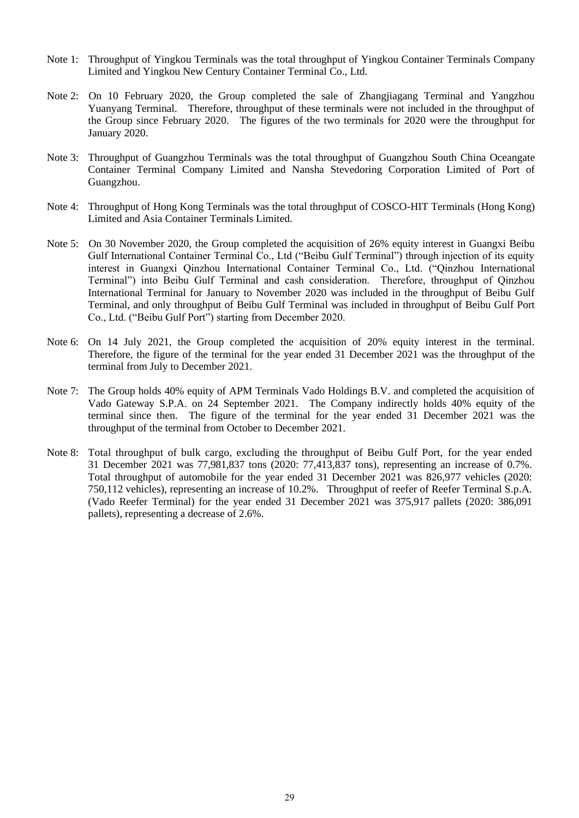- Note 1: Throughput of Yingkou Terminals was the total throughput of Yingkou Container Terminals Company Limited and Yingkou New Century Container Terminal Co., Ltd.
- Note 2: On 10 February 2020, the Group completed the sale of Zhangjiagang Terminal and Yangzhou Yuanyang Terminal. Therefore, throughput of these terminals were not included in the throughput of the Group since February 2020. The figures of the two terminals for 2020 were the throughput for January 2020.
- Note 3: Throughput of Guangzhou Terminals was the total throughput of Guangzhou South China Oceangate Container Terminal Company Limited and Nansha Stevedoring Corporation Limited of Port of Guangzhou.
- Note 4: Throughput of Hong Kong Terminals was the total throughput of COSCO-HIT Terminals (Hong Kong) Limited and Asia Container Terminals Limited.
- Note 5: On 30 November 2020, the Group completed the acquisition of 26% equity interest in Guangxi Beibu Gulf International Container Terminal Co., Ltd ("Beibu Gulf Terminal") through injection of its equity interest in Guangxi Qinzhou International Container Terminal Co., Ltd. ("Qinzhou International Terminal") into Beibu Gulf Terminal and cash consideration. Therefore, throughput of Qinzhou International Terminal for January to November 2020 was included in the throughput of Beibu Gulf Terminal, and only throughput of Beibu Gulf Terminal was included in throughput of Beibu Gulf Port Co., Ltd. ("Beibu Gulf Port") starting from December 2020.
- Note 6: On 14 July 2021, the Group completed the acquisition of 20% equity interest in the terminal. Therefore, the figure of the terminal for the year ended 31 December 2021 was the throughput of the terminal from July to December 2021.
- Note 7: The Group holds 40% equity of APM Terminals Vado Holdings B.V. and completed the acquisition of Vado Gateway S.P.A. on 24 September 2021. The Company indirectly holds 40% equity of the terminal since then. The figure of the terminal for the year ended 31 December 2021 was the throughput of the terminal from October to December 2021.
- Note 8: Total throughput of bulk cargo, excluding the throughput of Beibu Gulf Port, for the year ended 31 December 2021 was 77,981,837 tons (2020: 77,413,837 tons), representing an increase of 0.7%. Total throughput of automobile for the year ended 31 December 2021 was 826,977 vehicles (2020: 750,112 vehicles), representing an increase of 10.2%. Throughput of reefer of Reefer Terminal S.p.A. (Vado Reefer Terminal) for the year ended 31 December 2021 was 375,917 pallets (2020: 386,091 pallets), representing a decrease of 2.6%.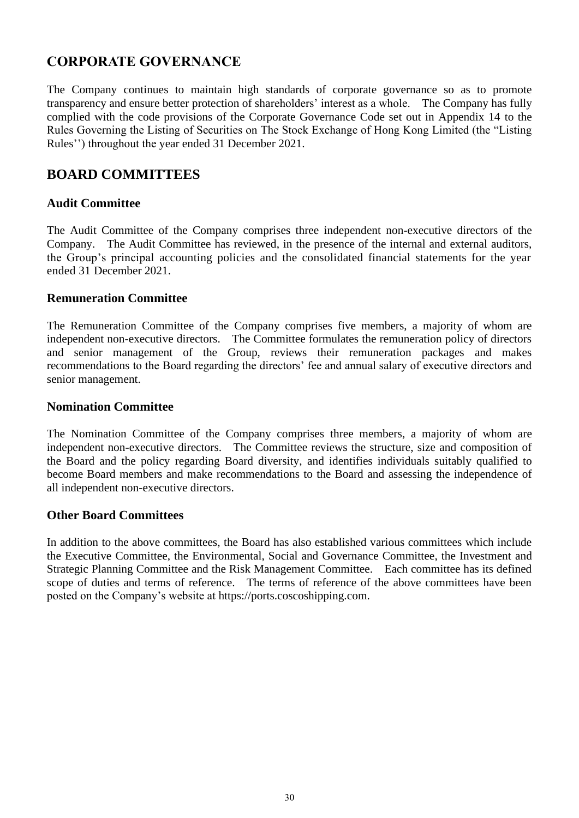## **CORPORATE GOVERNANCE**

The Company continues to maintain high standards of corporate governance so as to promote transparency and ensure better protection of shareholders' interest as a whole. The Company has fully complied with the code provisions of the Corporate Governance Code set out in Appendix 14 to the Rules Governing the Listing of Securities on The Stock Exchange of Hong Kong Limited (the "Listing Rules'') throughout the year ended 31 December 2021.

## **BOARD COMMITTEES**

### **Audit Committee**

The Audit Committee of the Company comprises three independent non-executive directors of the Company. The Audit Committee has reviewed, in the presence of the internal and external auditors, the Group's principal accounting policies and the consolidated financial statements for the year ended 31 December 2021.

### **Remuneration Committee**

The Remuneration Committee of the Company comprises five members, a majority of whom are independent non-executive directors. The Committee formulates the remuneration policy of directors and senior management of the Group, reviews their remuneration packages and makes recommendations to the Board regarding the directors' fee and annual salary of executive directors and senior management.

### **Nomination Committee**

The Nomination Committee of the Company comprises three members, a majority of whom are independent non-executive directors. The Committee reviews the structure, size and composition of the Board and the policy regarding Board diversity, and identifies individuals suitably qualified to become Board members and make recommendations to the Board and assessing the independence of all independent non-executive directors.

### **Other Board Committees**

In addition to the above committees, the Board has also established various committees which include the Executive Committee, the Environmental, Social and Governance Committee, the Investment and Strategic Planning Committee and the Risk Management Committee. Each committee has its defined scope of duties and terms of reference. The terms of reference of the above committees have been posted on the Company's website at https://ports.coscoshipping.com.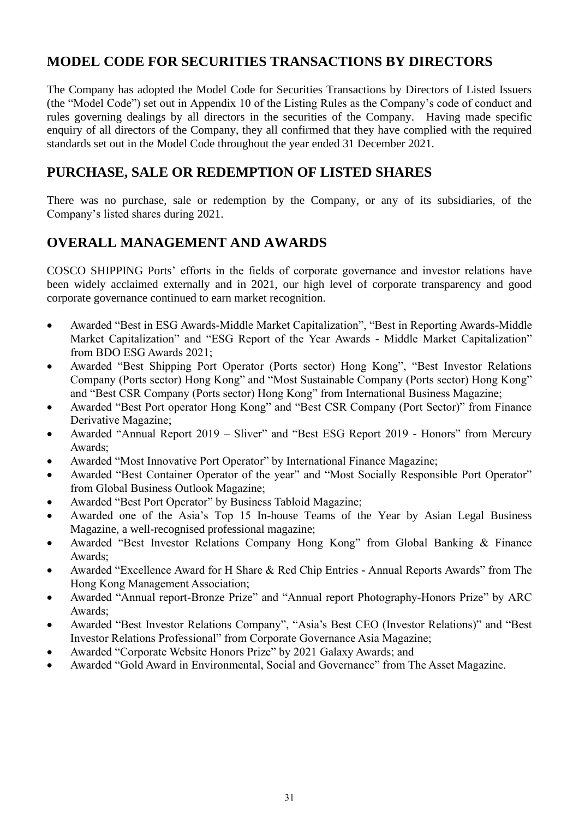## **MODEL CODE FOR SECURITIES TRANSACTIONS BY DIRECTORS**

The Company has adopted the Model Code for Securities Transactions by Directors of Listed Issuers (the "Model Code") set out in Appendix 10 of the Listing Rules as the Company's code of conduct and rules governing dealings by all directors in the securities of the Company. Having made specific enquiry of all directors of the Company, they all confirmed that they have complied with the required standards set out in the Model Code throughout the year ended 31 December 2021.

## **PURCHASE, SALE OR REDEMPTION OF LISTED SHARES**

There was no purchase, sale or redemption by the Company, or any of its subsidiaries, of the Company's listed shares during 2021.

## **OVERALL MANAGEMENT AND AWARDS**

COSCO SHIPPING Ports' efforts in the fields of corporate governance and investor relations have been widely acclaimed externally and in 2021, our high level of corporate transparency and good corporate governance continued to earn market recognition.

- Awarded "Best in ESG Awards-Middle Market Capitalization", "Best in Reporting Awards-Middle Market Capitalization" and "ESG Report of the Year Awards - Middle Market Capitalization" from BDO ESG Awards 2021;
- Awarded "Best Shipping Port Operator (Ports sector) Hong Kong", "Best Investor Relations Company (Ports sector) Hong Kong" and "Most Sustainable Company (Ports sector) Hong Kong" and "Best CSR Company (Ports sector) Hong Kong" from International Business Magazine;
- Awarded "Best Port operator Hong Kong" and "Best CSR Company (Port Sector)" from Finance Derivative Magazine;
- Awarded "Annual Report 2019 Sliver" and "Best ESG Report 2019 Honors" from Mercury Awards;
- Awarded "Most Innovative Port Operator" by International Finance Magazine;
- Awarded "Best Container Operator of the year" and "Most Socially Responsible Port Operator" from Global Business Outlook Magazine;
- Awarded "Best Port Operator" by Business Tabloid Magazine;
- Awarded one of the Asia's Top 15 In-house Teams of the Year by Asian Legal Business Magazine, a well-recognised professional magazine;
- Awarded "Best Investor Relations Company Hong Kong" from Global Banking & Finance Awards;
- Awarded "Excellence Award for H Share & Red Chip Entries Annual Reports Awards" from The Hong Kong Management Association;
- Awarded "Annual report-Bronze Prize" and "Annual report Photography-Honors Prize" by ARC Awards;
- Awarded "Best Investor Relations Company", "Asia's Best CEO (Investor Relations)" and "Best Investor Relations Professional" from Corporate Governance Asia Magazine;
- Awarded "Corporate Website Honors Prize" by 2021 Galaxy Awards; and
- Awarded "Gold Award in Environmental, Social and Governance" from The Asset Magazine.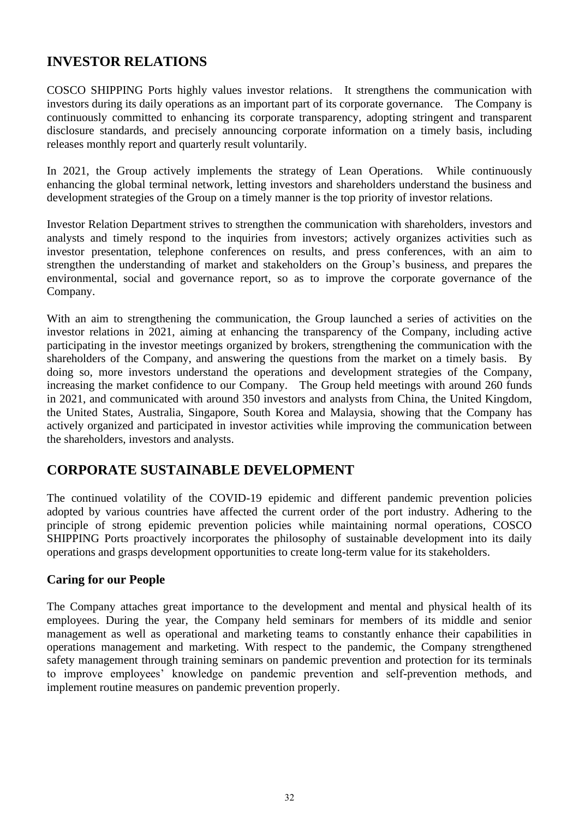## **INVESTOR RELATIONS**

COSCO SHIPPING Ports highly values investor relations. It strengthens the communication with investors during its daily operations as an important part of its corporate governance. The Company is continuously committed to enhancing its corporate transparency, adopting stringent and transparent disclosure standards, and precisely announcing corporate information on a timely basis, including releases monthly report and quarterly result voluntarily.

In 2021, the Group actively implements the strategy of Lean Operations. While continuously enhancing the global terminal network, letting investors and shareholders understand the business and development strategies of the Group on a timely manner is the top priority of investor relations.

Investor Relation Department strives to strengthen the communication with shareholders, investors and analysts and timely respond to the inquiries from investors; actively organizes activities such as investor presentation, telephone conferences on results, and press conferences, with an aim to strengthen the understanding of market and stakeholders on the Group's business, and prepares the environmental, social and governance report, so as to improve the corporate governance of the Company.

With an aim to strengthening the communication, the Group launched a series of activities on the investor relations in 2021, aiming at enhancing the transparency of the Company, including active participating in the investor meetings organized by brokers, strengthening the communication with the shareholders of the Company, and answering the questions from the market on a timely basis. By doing so, more investors understand the operations and development strategies of the Company, increasing the market confidence to our Company. The Group held meetings with around 260 funds in 2021, and communicated with around 350 investors and analysts from China, the United Kingdom, the United States, Australia, Singapore, South Korea and Malaysia, showing that the Company has actively organized and participated in investor activities while improving the communication between the shareholders, investors and analysts.

## **CORPORATE SUSTAINABLE DEVELOPMENT**

The continued volatility of the COVID-19 epidemic and different pandemic prevention policies adopted by various countries have affected the current order of the port industry. Adhering to the principle of strong epidemic prevention policies while maintaining normal operations, COSCO SHIPPING Ports proactively incorporates the philosophy of sustainable development into its daily operations and grasps development opportunities to create long-term value for its stakeholders.

## **Caring for our People**

The Company attaches great importance to the development and mental and physical health of its employees. During the year, the Company held seminars for members of its middle and senior management as well as operational and marketing teams to constantly enhance their capabilities in operations management and marketing. With respect to the pandemic, the Company strengthened safety management through training seminars on pandemic prevention and protection for its terminals to improve employees' knowledge on pandemic prevention and self-prevention methods, and implement routine measures on pandemic prevention properly.